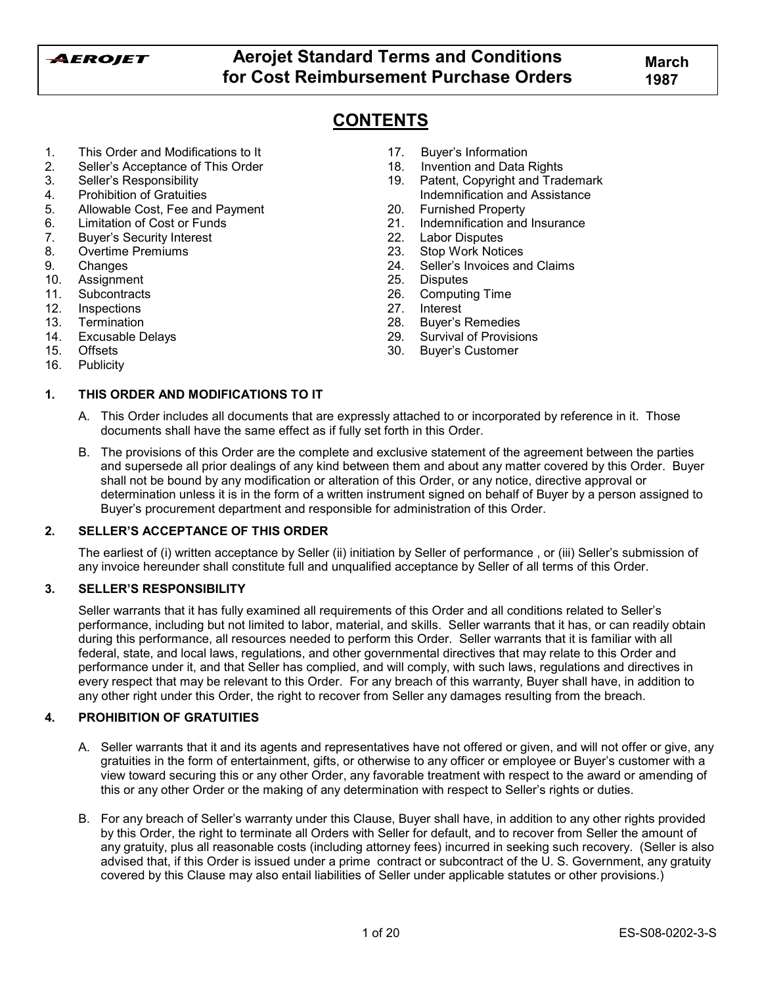

# **CONTENTS**

- 1. This Order and Modifications to It
- 2. Sellerís Acceptance of This Order
- 3. Sellerís Responsibility
- 4. Prohibition of Gratuities
- 5. Allowable Cost, Fee and Payment
- 6. Limitation of Cost or Funds
- 7. Buyerís Security Interest
- 8. Overtime Premiums
- 9. Changes
- 10. Assignment
- 11. Subcontracts
- 12. Inspections
- 13. Termination
- 14. Excusable Delays
- 15. Offsets
- 16. Publicity

## **1. THIS ORDER AND MODIFICATIONS TO IT**

- 17. Buver's Information
- 18. Invention and Data Rights
- 19. Patent, Copyright and Trademark Indemnification and Assistance
- 20. Furnished Property
- 21. Indemnification and Insurance
- 22. Labor Disputes
- 23. Stop Work Notices
- 24. Seller's Invoices and Claims
- 25. Disputes<br>26. Computin
- 26. Computing Time<br>27. Interest
- 27. Interest<br>28. Buver's
- Buyer's Remedies
- 29. Survival of Provisions
- 30. Buyerís Customer
- A. This Order includes all documents that are expressly attached to or incorporated by reference in it. Those documents shall have the same effect as if fully set forth in this Order.
- B. The provisions of this Order are the complete and exclusive statement of the agreement between the parties and supersede all prior dealings of any kind between them and about any matter covered by this Order. Buyer shall not be bound by any modification or alteration of this Order, or any notice, directive approval or determination unless it is in the form of a written instrument signed on behalf of Buyer by a person assigned to Buyerís procurement department and responsible for administration of this Order.

## **2. SELLERíS ACCEPTANCE OF THIS ORDER**

The earliest of (i) written acceptance by Seller (ii) initiation by Seller of performance , or (iii) Sellerís submission of any invoice hereunder shall constitute full and unqualified acceptance by Seller of all terms of this Order.

## **3. SELLERíS RESPONSIBILITY**

Seller warrants that it has fully examined all requirements of this Order and all conditions related to Seller's performance, including but not limited to labor, material, and skills. Seller warrants that it has, or can readily obtain during this performance, all resources needed to perform this Order. Seller warrants that it is familiar with all federal, state, and local laws, regulations, and other governmental directives that may relate to this Order and performance under it, and that Seller has complied, and will comply, with such laws, regulations and directives in every respect that may be relevant to this Order. For any breach of this warranty, Buyer shall have, in addition to any other right under this Order, the right to recover from Seller any damages resulting from the breach.

## **4. PROHIBITION OF GRATUITIES**

- A. Seller warrants that it and its agents and representatives have not offered or given, and will not offer or give, any gratuities in the form of entertainment, gifts, or otherwise to any officer or employee or Buyerís customer with a view toward securing this or any other Order, any favorable treatment with respect to the award or amending of this or any other Order or the making of any determination with respect to Seller's rights or duties.
- B. For any breach of Sellerís warranty under this Clause, Buyer shall have, in addition to any other rights provided by this Order, the right to terminate all Orders with Seller for default, and to recover from Seller the amount of any gratuity, plus all reasonable costs (including attorney fees) incurred in seeking such recovery. (Seller is also advised that, if this Order is issued under a prime contract or subcontract of the U. S. Government, any gratuity covered by this Clause may also entail liabilities of Seller under applicable statutes or other provisions.)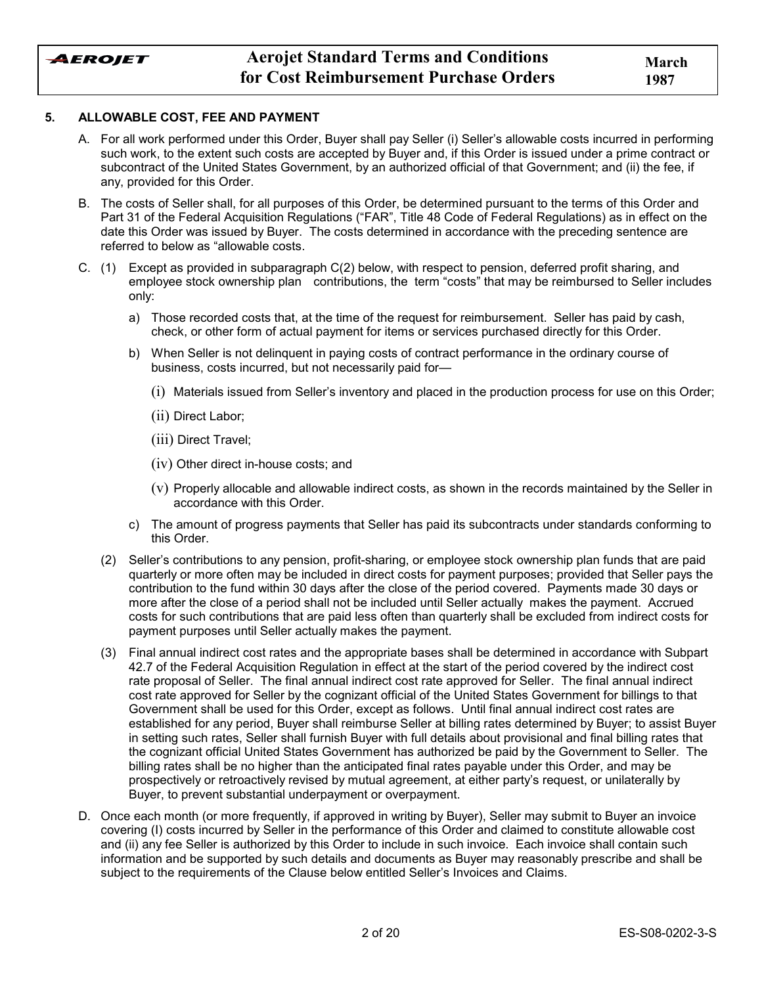

#### **5. ALLOWABLE COST, FEE AND PAYMENT**

- A. For all work performed under this Order, Buyer shall pay Seller (i) Sellerís allowable costs incurred in performing such work, to the extent such costs are accepted by Buyer and, if this Order is issued under a prime contract or subcontract of the United States Government, by an authorized official of that Government; and (ii) the fee, if any, provided for this Order.
- B. The costs of Seller shall, for all purposes of this Order, be determined pursuant to the terms of this Order and Part 31 of the Federal Acquisition Regulations ("FAR", Title 48 Code of Federal Regulations) as in effect on the date this Order was issued by Buyer. The costs determined in accordance with the preceding sentence are referred to below as "allowable costs.
- C. (1) Except as provided in subparagraph C(2) below, with respect to pension, deferred profit sharing, and employee stock ownership plan contributions, the term "costs" that may be reimbursed to Seller includes only:
	- a) Those recorded costs that, at the time of the request for reimbursement. Seller has paid by cash, check, or other form of actual payment for items or services purchased directly for this Order.
	- b) When Seller is not delinquent in paying costs of contract performance in the ordinary course of business, costs incurred, but not necessarily paid for-
		- $(i)$  Materials issued from Seller's inventory and placed in the production process for use on this Order;
		- (ii) Direct Labor;
		- (iii) Direct Travel;
		- (iv) Other direct in-house costs; and
		- (v) Properly allocable and allowable indirect costs, as shown in the records maintained by the Seller in accordance with this Order.
	- c) The amount of progress payments that Seller has paid its subcontracts under standards conforming to this Order.
	- (2) Sellerís contributions to any pension, profit-sharing, or employee stock ownership plan funds that are paid quarterly or more often may be included in direct costs for payment purposes; provided that Seller pays the contribution to the fund within 30 days after the close of the period covered. Payments made 30 days or more after the close of a period shall not be included until Seller actually makes the payment. Accrued costs for such contributions that are paid less often than quarterly shall be excluded from indirect costs for payment purposes until Seller actually makes the payment.
	- (3) Final annual indirect cost rates and the appropriate bases shall be determined in accordance with Subpart 42.7 of the Federal Acquisition Regulation in effect at the start of the period covered by the indirect cost rate proposal of Seller. The final annual indirect cost rate approved for Seller. The final annual indirect cost rate approved for Seller by the cognizant official of the United States Government for billings to that Government shall be used for this Order, except as follows. Until final annual indirect cost rates are established for any period, Buyer shall reimburse Seller at billing rates determined by Buyer; to assist Buyer in setting such rates, Seller shall furnish Buyer with full details about provisional and final billing rates that the cognizant official United States Government has authorized be paid by the Government to Seller. The billing rates shall be no higher than the anticipated final rates payable under this Order, and may be prospectively or retroactively revised by mutual agreement, at either partyís request, or unilaterally by Buyer, to prevent substantial underpayment or overpayment.
- D. Once each month (or more frequently, if approved in writing by Buyer), Seller may submit to Buyer an invoice covering (I) costs incurred by Seller in the performance of this Order and claimed to constitute allowable cost and (ii) any fee Seller is authorized by this Order to include in such invoice. Each invoice shall contain such information and be supported by such details and documents as Buyer may reasonably prescribe and shall be subject to the requirements of the Clause below entitled Seller's Invoices and Claims.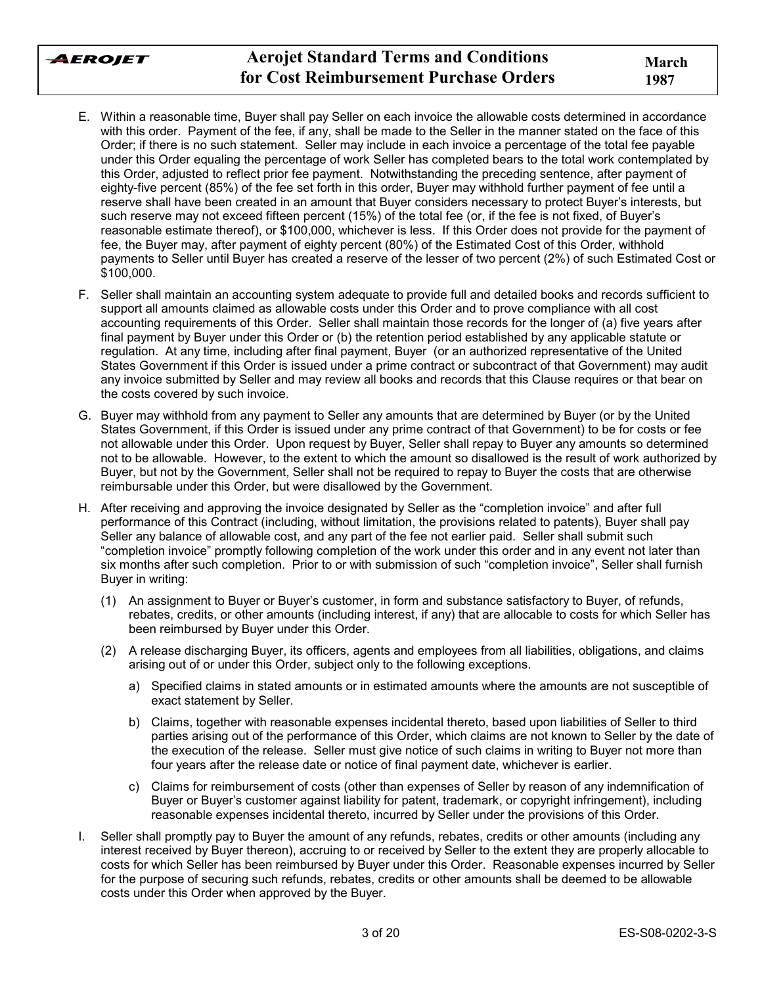

- E. Within a reasonable time, Buyer shall pay Seller on each invoice the allowable costs determined in accordance with this order. Payment of the fee, if any, shall be made to the Seller in the manner stated on the face of this Order; if there is no such statement. Seller may include in each invoice a percentage of the total fee payable under this Order equaling the percentage of work Seller has completed bears to the total work contemplated by this Order, adjusted to reflect prior fee payment. Notwithstanding the preceding sentence, after payment of eighty-five percent (85%) of the fee set forth in this order, Buyer may withhold further payment of fee until a reserve shall have been created in an amount that Buyer considers necessary to protect Buyer's interests, but such reserve may not exceed fifteen percent (15%) of the total fee (or, if the fee is not fixed, of Buyer's reasonable estimate thereof), or \$100,000, whichever is less. If this Order does not provide for the payment of fee, the Buyer may, after payment of eighty percent (80%) of the Estimated Cost of this Order, withhold payments to Seller until Buyer has created a reserve of the lesser of two percent (2%) of such Estimated Cost or \$100,000.
- F. Seller shall maintain an accounting system adequate to provide full and detailed books and records sufficient to support all amounts claimed as allowable costs under this Order and to prove compliance with all cost accounting requirements of this Order. Seller shall maintain those records for the longer of (a) five years after final payment by Buyer under this Order or (b) the retention period established by any applicable statute or regulation. At any time, including after final payment, Buyer (or an authorized representative of the United States Government if this Order is issued under a prime contract or subcontract of that Government) may audit any invoice submitted by Seller and may review all books and records that this Clause requires or that bear on the costs covered by such invoice.
- G. Buyer may withhold from any payment to Seller any amounts that are determined by Buyer (or by the United States Government, if this Order is issued under any prime contract of that Government) to be for costs or fee not allowable under this Order. Upon request by Buyer, Seller shall repay to Buyer any amounts so determined not to be allowable. However, to the extent to which the amount so disallowed is the result of work authorized by Buyer, but not by the Government, Seller shall not be required to repay to Buyer the costs that are otherwise reimbursable under this Order, but were disallowed by the Government.
- H. After receiving and approving the invoice designated by Seller as the "completion invoice" and after full performance of this Contract (including, without limitation, the provisions related to patents), Buyer shall pay Seller any balance of allowable cost, and any part of the fee not earlier paid. Seller shall submit such ìcompletion invoiceî promptly following completion of the work under this order and in any event not later than six months after such completion. Prior to or with submission of such "completion invoice", Seller shall furnish Buyer in writing:
	- (1) An assignment to Buyer or Buyerís customer, in form and substance satisfactory to Buyer, of refunds, rebates, credits, or other amounts (including interest, if any) that are allocable to costs for which Seller has been reimbursed by Buyer under this Order.
	- (2) A release discharging Buyer, its officers, agents and employees from all liabilities, obligations, and claims arising out of or under this Order, subject only to the following exceptions.
		- a) Specified claims in stated amounts or in estimated amounts where the amounts are not susceptible of exact statement by Seller.
		- b) Claims, together with reasonable expenses incidental thereto, based upon liabilities of Seller to third parties arising out of the performance of this Order, which claims are not known to Seller by the date of the execution of the release. Seller must give notice of such claims in writing to Buyer not more than four years after the release date or notice of final payment date, whichever is earlier.
		- c) Claims for reimbursement of costs (other than expenses of Seller by reason of any indemnification of Buyer or Buyerís customer against liability for patent, trademark, or copyright infringement), including reasonable expenses incidental thereto, incurred by Seller under the provisions of this Order.
- I. Seller shall promptly pay to Buyer the amount of any refunds, rebates, credits or other amounts (including any interest received by Buyer thereon), accruing to or received by Seller to the extent they are properly allocable to costs for which Seller has been reimbursed by Buyer under this Order. Reasonable expenses incurred by Seller for the purpose of securing such refunds, rebates, credits or other amounts shall be deemed to be allowable costs under this Order when approved by the Buyer.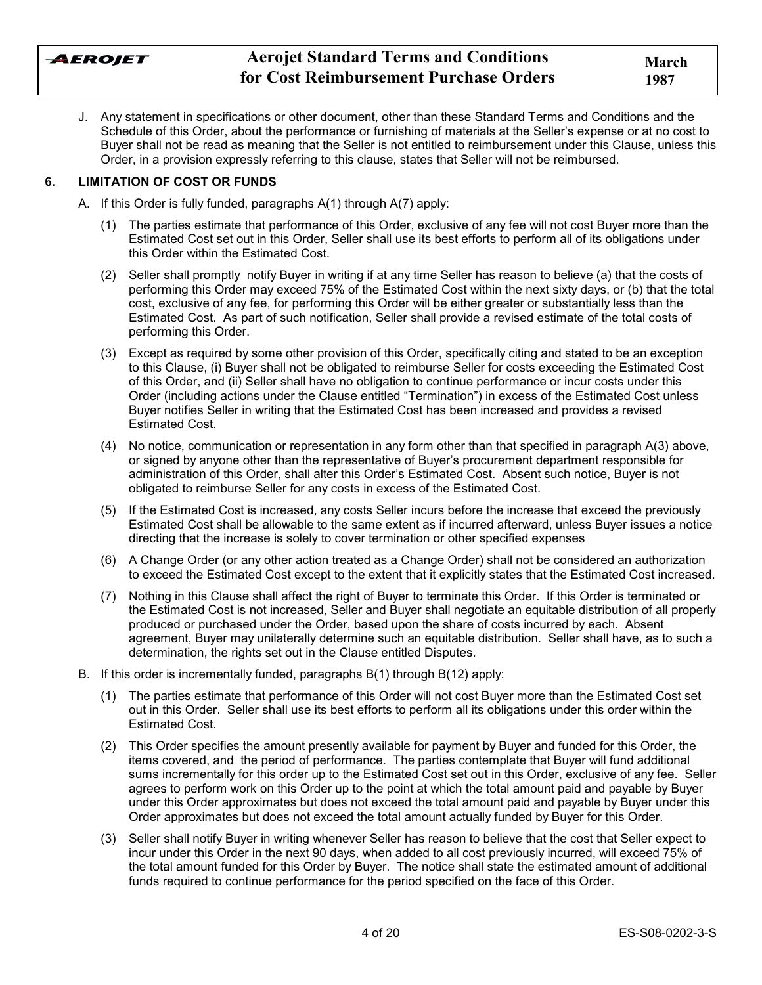

J. Any statement in specifications or other document, other than these Standard Terms and Conditions and the Schedule of this Order, about the performance or furnishing of materials at the Seller's expense or at no cost to Buyer shall not be read as meaning that the Seller is not entitled to reimbursement under this Clause, unless this Order, in a provision expressly referring to this clause, states that Seller will not be reimbursed.

## **6. LIMITATION OF COST OR FUNDS**

- A. If this Order is fully funded, paragraphs A(1) through A(7) apply:
	- (1) The parties estimate that performance of this Order, exclusive of any fee will not cost Buyer more than the Estimated Cost set out in this Order, Seller shall use its best efforts to perform all of its obligations under this Order within the Estimated Cost.
	- (2) Seller shall promptly notify Buyer in writing if at any time Seller has reason to believe (a) that the costs of performing this Order may exceed 75% of the Estimated Cost within the next sixty days, or (b) that the total cost, exclusive of any fee, for performing this Order will be either greater or substantially less than the Estimated Cost. As part of such notification, Seller shall provide a revised estimate of the total costs of performing this Order.
	- (3) Except as required by some other provision of this Order, specifically citing and stated to be an exception to this Clause, (i) Buyer shall not be obligated to reimburse Seller for costs exceeding the Estimated Cost of this Order, and (ii) Seller shall have no obligation to continue performance or incur costs under this Order (including actions under the Clause entitled "Termination") in excess of the Estimated Cost unless Buyer notifies Seller in writing that the Estimated Cost has been increased and provides a revised Estimated Cost.
	- (4) No notice, communication or representation in any form other than that specified in paragraph A(3) above, or signed by anyone other than the representative of Buyerís procurement department responsible for administration of this Order, shall alter this Orderís Estimated Cost. Absent such notice, Buyer is not obligated to reimburse Seller for any costs in excess of the Estimated Cost.
	- (5) If the Estimated Cost is increased, any costs Seller incurs before the increase that exceed the previously Estimated Cost shall be allowable to the same extent as if incurred afterward, unless Buyer issues a notice directing that the increase is solely to cover termination or other specified expenses
	- (6) A Change Order (or any other action treated as a Change Order) shall not be considered an authorization to exceed the Estimated Cost except to the extent that it explicitly states that the Estimated Cost increased.
	- (7) Nothing in this Clause shall affect the right of Buyer to terminate this Order. If this Order is terminated or the Estimated Cost is not increased, Seller and Buyer shall negotiate an equitable distribution of all properly produced or purchased under the Order, based upon the share of costs incurred by each. Absent agreement, Buyer may unilaterally determine such an equitable distribution. Seller shall have, as to such a determination, the rights set out in the Clause entitled Disputes.
- B. If this order is incrementally funded, paragraphs B(1) through B(12) apply:
	- (1) The parties estimate that performance of this Order will not cost Buyer more than the Estimated Cost set out in this Order. Seller shall use its best efforts to perform all its obligations under this order within the Estimated Cost.
	- (2) This Order specifies the amount presently available for payment by Buyer and funded for this Order, the items covered, and the period of performance. The parties contemplate that Buyer will fund additional sums incrementally for this order up to the Estimated Cost set out in this Order, exclusive of any fee. Seller agrees to perform work on this Order up to the point at which the total amount paid and payable by Buyer under this Order approximates but does not exceed the total amount paid and payable by Buyer under this Order approximates but does not exceed the total amount actually funded by Buyer for this Order.
	- (3) Seller shall notify Buyer in writing whenever Seller has reason to believe that the cost that Seller expect to incur under this Order in the next 90 days, when added to all cost previously incurred, will exceed 75% of the total amount funded for this Order by Buyer. The notice shall state the estimated amount of additional funds required to continue performance for the period specified on the face of this Order.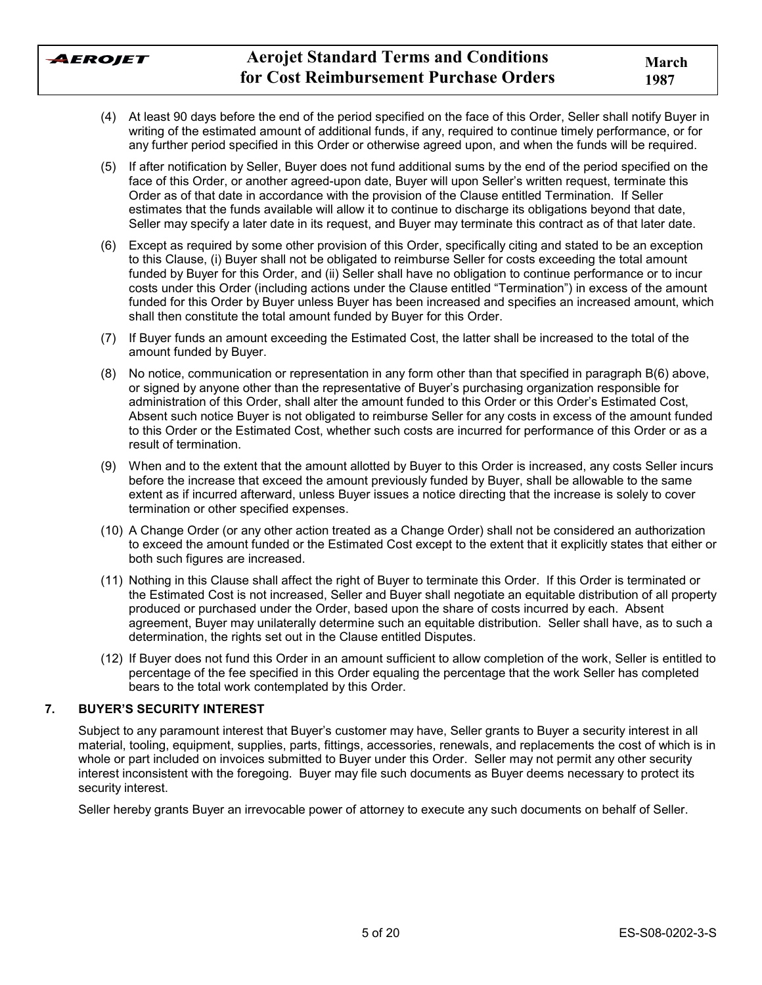

- (4) At least 90 days before the end of the period specified on the face of this Order, Seller shall notify Buyer in writing of the estimated amount of additional funds, if any, required to continue timely performance, or for any further period specified in this Order or otherwise agreed upon, and when the funds will be required.
- (5) If after notification by Seller, Buyer does not fund additional sums by the end of the period specified on the face of this Order, or another agreed-upon date, Buyer will upon Seller's written request, terminate this Order as of that date in accordance with the provision of the Clause entitled Termination. If Seller estimates that the funds available will allow it to continue to discharge its obligations beyond that date, Seller may specify a later date in its request, and Buyer may terminate this contract as of that later date.
- (6) Except as required by some other provision of this Order, specifically citing and stated to be an exception to this Clause, (i) Buyer shall not be obligated to reimburse Seller for costs exceeding the total amount funded by Buyer for this Order, and (ii) Seller shall have no obligation to continue performance or to incur costs under this Order (including actions under the Clause entitled "Termination") in excess of the amount funded for this Order by Buyer unless Buyer has been increased and specifies an increased amount, which shall then constitute the total amount funded by Buyer for this Order.
- (7) If Buyer funds an amount exceeding the Estimated Cost, the latter shall be increased to the total of the amount funded by Buyer.
- (8) No notice, communication or representation in any form other than that specified in paragraph B(6) above, or signed by anyone other than the representative of Buyerís purchasing organization responsible for administration of this Order, shall alter the amount funded to this Order or this Order's Estimated Cost, Absent such notice Buyer is not obligated to reimburse Seller for any costs in excess of the amount funded to this Order or the Estimated Cost, whether such costs are incurred for performance of this Order or as a result of termination.
- (9) When and to the extent that the amount allotted by Buyer to this Order is increased, any costs Seller incurs before the increase that exceed the amount previously funded by Buyer, shall be allowable to the same extent as if incurred afterward, unless Buyer issues a notice directing that the increase is solely to cover termination or other specified expenses.
- (10) A Change Order (or any other action treated as a Change Order) shall not be considered an authorization to exceed the amount funded or the Estimated Cost except to the extent that it explicitly states that either or both such figures are increased.
- (11) Nothing in this Clause shall affect the right of Buyer to terminate this Order. If this Order is terminated or the Estimated Cost is not increased, Seller and Buyer shall negotiate an equitable distribution of all property produced or purchased under the Order, based upon the share of costs incurred by each. Absent agreement, Buyer may unilaterally determine such an equitable distribution. Seller shall have, as to such a determination, the rights set out in the Clause entitled Disputes.
- (12) If Buyer does not fund this Order in an amount sufficient to allow completion of the work, Seller is entitled to percentage of the fee specified in this Order equaling the percentage that the work Seller has completed bears to the total work contemplated by this Order.

## **7. BUYERíS SECURITY INTEREST**

Subject to any paramount interest that Buyer's customer may have, Seller grants to Buyer a security interest in all material, tooling, equipment, supplies, parts, fittings, accessories, renewals, and replacements the cost of which is in whole or part included on invoices submitted to Buyer under this Order. Seller may not permit any other security interest inconsistent with the foregoing. Buyer may file such documents as Buyer deems necessary to protect its security interest.

Seller hereby grants Buyer an irrevocable power of attorney to execute any such documents on behalf of Seller.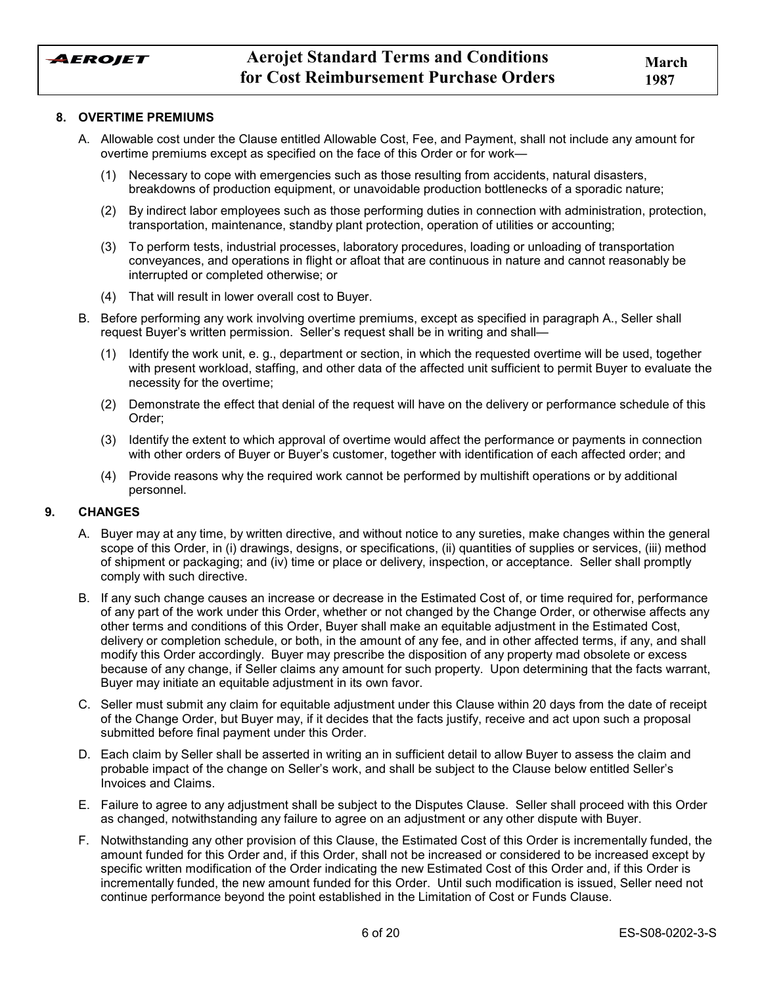

#### **8. OVERTIME PREMIUMS**

- A. Allowable cost under the Clause entitled Allowable Cost, Fee, and Payment, shall not include any amount for overtime premiums except as specified on the face of this Order or for work-
	- (1) Necessary to cope with emergencies such as those resulting from accidents, natural disasters, breakdowns of production equipment, or unavoidable production bottlenecks of a sporadic nature;
	- (2) By indirect labor employees such as those performing duties in connection with administration, protection, transportation, maintenance, standby plant protection, operation of utilities or accounting;
	- (3) To perform tests, industrial processes, laboratory procedures, loading or unloading of transportation conveyances, and operations in flight or afloat that are continuous in nature and cannot reasonably be interrupted or completed otherwise; or
	- (4) That will result in lower overall cost to Buyer.
- B. Before performing any work involving overtime premiums, except as specified in paragraph A., Seller shall request Buyer's written permission. Seller's request shall be in writing and shall—
	- (1) Identify the work unit, e. g., department or section, in which the requested overtime will be used, together with present workload, staffing, and other data of the affected unit sufficient to permit Buyer to evaluate the necessity for the overtime;
	- (2) Demonstrate the effect that denial of the request will have on the delivery or performance schedule of this Order;
	- (3) Identify the extent to which approval of overtime would affect the performance or payments in connection with other orders of Buyer or Buyer's customer, together with identification of each affected order; and
	- (4) Provide reasons why the required work cannot be performed by multishift operations or by additional personnel.

#### **9. CHANGES**

- A. Buyer may at any time, by written directive, and without notice to any sureties, make changes within the general scope of this Order, in (i) drawings, designs, or specifications, (ii) quantities of supplies or services, (iii) method of shipment or packaging; and (iv) time or place or delivery, inspection, or acceptance. Seller shall promptly comply with such directive.
- B. If any such change causes an increase or decrease in the Estimated Cost of, or time required for, performance of any part of the work under this Order, whether or not changed by the Change Order, or otherwise affects any other terms and conditions of this Order, Buyer shall make an equitable adjustment in the Estimated Cost, delivery or completion schedule, or both, in the amount of any fee, and in other affected terms, if any, and shall modify this Order accordingly. Buyer may prescribe the disposition of any property mad obsolete or excess because of any change, if Seller claims any amount for such property. Upon determining that the facts warrant, Buyer may initiate an equitable adjustment in its own favor.
- C. Seller must submit any claim for equitable adjustment under this Clause within 20 days from the date of receipt of the Change Order, but Buyer may, if it decides that the facts justify, receive and act upon such a proposal submitted before final payment under this Order.
- D. Each claim by Seller shall be asserted in writing an in sufficient detail to allow Buyer to assess the claim and probable impact of the change on Seller's work, and shall be subject to the Clause below entitled Seller's Invoices and Claims.
- E. Failure to agree to any adjustment shall be subject to the Disputes Clause. Seller shall proceed with this Order as changed, notwithstanding any failure to agree on an adjustment or any other dispute with Buyer.
- F. Notwithstanding any other provision of this Clause, the Estimated Cost of this Order is incrementally funded, the amount funded for this Order and, if this Order, shall not be increased or considered to be increased except by specific written modification of the Order indicating the new Estimated Cost of this Order and, if this Order is incrementally funded, the new amount funded for this Order. Until such modification is issued, Seller need not continue performance beyond the point established in the Limitation of Cost or Funds Clause.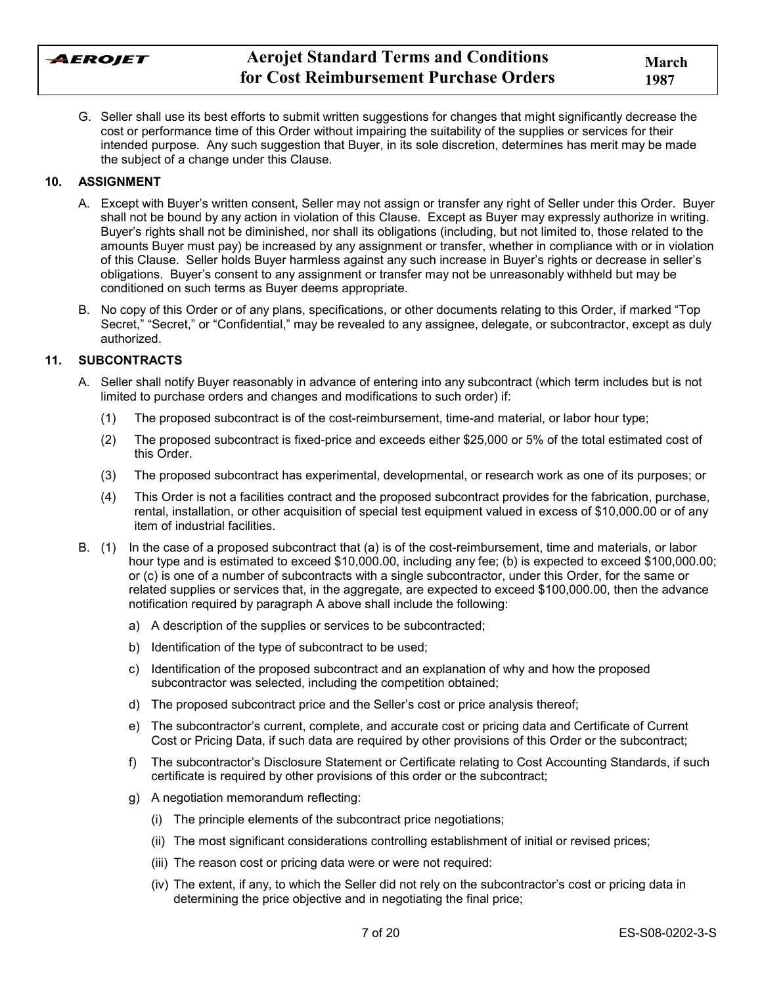AEROJET

G. Seller shall use its best efforts to submit written suggestions for changes that might significantly decrease the cost or performance time of this Order without impairing the suitability of the supplies or services for their intended purpose. Any such suggestion that Buyer, in its sole discretion, determines has merit may be made the subject of a change under this Clause.

## **10. ASSIGNMENT**

- A. Except with Buyerís written consent, Seller may not assign or transfer any right of Seller under this Order. Buyer shall not be bound by any action in violation of this Clause. Except as Buyer may expressly authorize in writing. Buyer's rights shall not be diminished, nor shall its obligations (including, but not limited to, those related to the amounts Buyer must pay) be increased by any assignment or transfer, whether in compliance with or in violation of this Clause. Seller holds Buyer harmless against any such increase in Buyerís rights or decrease in sellerís obligations. Buyerís consent to any assignment or transfer may not be unreasonably withheld but may be conditioned on such terms as Buyer deems appropriate.
- B. No copy of this Order or of any plans, specifications, or other documents relating to this Order, if marked "Top Secret," "Secret," or "Confidential," may be revealed to any assignee, delegate, or subcontractor, except as duly authorized.

### **11. SUBCONTRACTS**

- A. Seller shall notify Buyer reasonably in advance of entering into any subcontract (which term includes but is not limited to purchase orders and changes and modifications to such order) if:
	- (1) The proposed subcontract is of the cost-reimbursement, time-and material, or labor hour type;
	- (2) The proposed subcontract is fixed-price and exceeds either \$25,000 or 5% of the total estimated cost of this Order.
	- (3) The proposed subcontract has experimental, developmental, or research work as one of its purposes; or
	- (4) This Order is not a facilities contract and the proposed subcontract provides for the fabrication, purchase, rental, installation, or other acquisition of special test equipment valued in excess of \$10,000.00 or of any item of industrial facilities.
- B. (1) In the case of a proposed subcontract that (a) is of the cost-reimbursement, time and materials, or labor hour type and is estimated to exceed \$10,000.00, including any fee; (b) is expected to exceed \$100,000.00; or (c) is one of a number of subcontracts with a single subcontractor, under this Order, for the same or related supplies or services that, in the aggregate, are expected to exceed \$100,000.00, then the advance notification required by paragraph A above shall include the following:
	- a) A description of the supplies or services to be subcontracted;
	- b) Identification of the type of subcontract to be used;
	- c) Identification of the proposed subcontract and an explanation of why and how the proposed subcontractor was selected, including the competition obtained;
	- d) The proposed subcontract price and the Seller's cost or price analysis thereof;
	- e) The subcontractorís current, complete, and accurate cost or pricing data and Certificate of Current Cost or Pricing Data, if such data are required by other provisions of this Order or the subcontract;
	- f) The subcontractor's Disclosure Statement or Certificate relating to Cost Accounting Standards, if such certificate is required by other provisions of this order or the subcontract;
	- g) A negotiation memorandum reflecting:
		- (i) The principle elements of the subcontract price negotiations;
		- (ii) The most significant considerations controlling establishment of initial or revised prices;
		- (iii) The reason cost or pricing data were or were not required:
		- (iv) The extent, if any, to which the Seller did not rely on the subcontractor's cost or pricing data in determining the price objective and in negotiating the final price;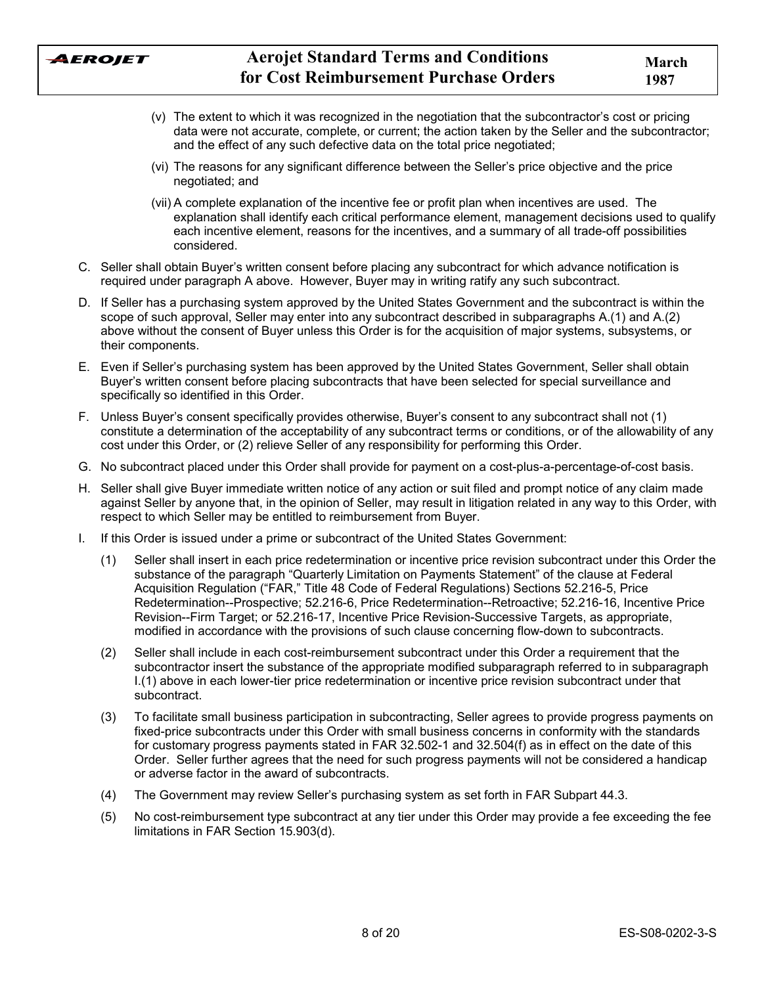

- $(v)$  The extent to which it was recognized in the negotiation that the subcontractor's cost or pricing data were not accurate, complete, or current; the action taken by the Seller and the subcontractor; and the effect of any such defective data on the total price negotiated;
- (vi) The reasons for any significant difference between the Sellerís price objective and the price negotiated; and
- (vii) A complete explanation of the incentive fee or profit plan when incentives are used. The explanation shall identify each critical performance element, management decisions used to qualify each incentive element, reasons for the incentives, and a summary of all trade-off possibilities considered.
- C. Seller shall obtain Buyerís written consent before placing any subcontract for which advance notification is required under paragraph A above. However, Buyer may in writing ratify any such subcontract.
- D. If Seller has a purchasing system approved by the United States Government and the subcontract is within the scope of such approval, Seller may enter into any subcontract described in subparagraphs A.(1) and A.(2) above without the consent of Buyer unless this Order is for the acquisition of major systems, subsystems, or their components.
- E. Even if Sellerís purchasing system has been approved by the United States Government, Seller shall obtain Buyerís written consent before placing subcontracts that have been selected for special surveillance and specifically so identified in this Order.
- F. Unless Buyerís consent specifically provides otherwise, Buyerís consent to any subcontract shall not (1) constitute a determination of the acceptability of any subcontract terms or conditions, or of the allowability of any cost under this Order, or (2) relieve Seller of any responsibility for performing this Order.
- G. No subcontract placed under this Order shall provide for payment on a cost-plus-a-percentage-of-cost basis.
- H. Seller shall give Buyer immediate written notice of any action or suit filed and prompt notice of any claim made against Seller by anyone that, in the opinion of Seller, may result in litigation related in any way to this Order, with respect to which Seller may be entitled to reimbursement from Buyer.
- I. If this Order is issued under a prime or subcontract of the United States Government:
	- (1) Seller shall insert in each price redetermination or incentive price revision subcontract under this Order the substance of the paragraph "Quarterly Limitation on Payments Statement" of the clause at Federal Acquisition Regulation ("FAR," Title 48 Code of Federal Regulations) Sections 52.216-5, Price Redetermination--Prospective; 52.216-6, Price Redetermination--Retroactive; 52.216-16, Incentive Price Revision--Firm Target; or 52.216-17, Incentive Price Revision-Successive Targets, as appropriate, modified in accordance with the provisions of such clause concerning flow-down to subcontracts.
	- (2) Seller shall include in each cost-reimbursement subcontract under this Order a requirement that the subcontractor insert the substance of the appropriate modified subparagraph referred to in subparagraph I.(1) above in each lower-tier price redetermination or incentive price revision subcontract under that subcontract.
	- (3) To facilitate small business participation in subcontracting, Seller agrees to provide progress payments on fixed-price subcontracts under this Order with small business concerns in conformity with the standards for customary progress payments stated in FAR 32.502-1 and 32.504(f) as in effect on the date of this Order. Seller further agrees that the need for such progress payments will not be considered a handicap or adverse factor in the award of subcontracts.
	- (4) The Government may review Sellerís purchasing system as set forth in FAR Subpart 44.3.
	- (5) No cost-reimbursement type subcontract at any tier under this Order may provide a fee exceeding the fee limitations in FAR Section 15.903(d).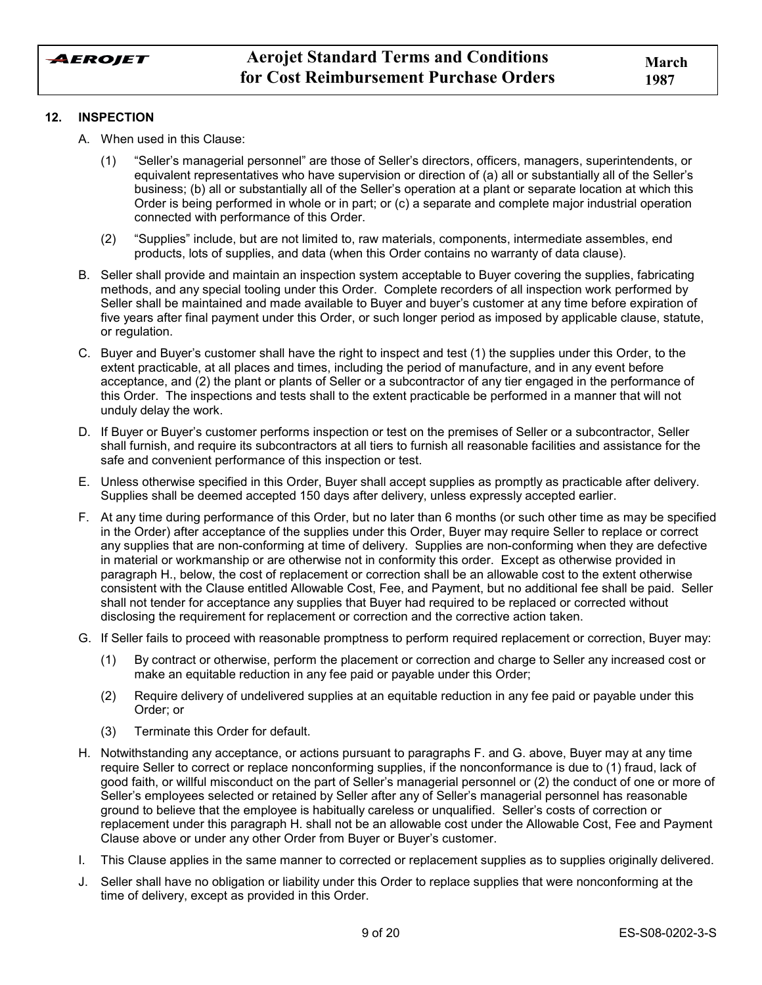### **12. INSPECTION**

- A. When used in this Clause:
	- (1) "Seller's managerial personnel" are those of Seller's directors, officers, managers, superintendents, or equivalent representatives who have supervision or direction of (a) all or substantially all of the Sellerís business; (b) all or substantially all of the Sellerís operation at a plant or separate location at which this Order is being performed in whole or in part; or (c) a separate and complete major industrial operation connected with performance of this Order.
	- (2) "Supplies" include, but are not limited to, raw materials, components, intermediate assembles, end products, lots of supplies, and data (when this Order contains no warranty of data clause).
- B. Seller shall provide and maintain an inspection system acceptable to Buyer covering the supplies, fabricating methods, and any special tooling under this Order. Complete recorders of all inspection work performed by Seller shall be maintained and made available to Buyer and buyer's customer at any time before expiration of five years after final payment under this Order, or such longer period as imposed by applicable clause, statute, or regulation.
- C. Buyer and Buyerís customer shall have the right to inspect and test (1) the supplies under this Order, to the extent practicable, at all places and times, including the period of manufacture, and in any event before acceptance, and (2) the plant or plants of Seller or a subcontractor of any tier engaged in the performance of this Order. The inspections and tests shall to the extent practicable be performed in a manner that will not unduly delay the work.
- D. If Buyer or Buyerís customer performs inspection or test on the premises of Seller or a subcontractor, Seller shall furnish, and require its subcontractors at all tiers to furnish all reasonable facilities and assistance for the safe and convenient performance of this inspection or test.
- E. Unless otherwise specified in this Order, Buyer shall accept supplies as promptly as practicable after delivery. Supplies shall be deemed accepted 150 days after delivery, unless expressly accepted earlier.
- F. At any time during performance of this Order, but no later than 6 months (or such other time as may be specified in the Order) after acceptance of the supplies under this Order, Buyer may require Seller to replace or correct any supplies that are non-conforming at time of delivery. Supplies are non-conforming when they are defective in material or workmanship or are otherwise not in conformity this order. Except as otherwise provided in paragraph H., below, the cost of replacement or correction shall be an allowable cost to the extent otherwise consistent with the Clause entitled Allowable Cost, Fee, and Payment, but no additional fee shall be paid. Seller shall not tender for acceptance any supplies that Buyer had required to be replaced or corrected without disclosing the requirement for replacement or correction and the corrective action taken.
- G. If Seller fails to proceed with reasonable promptness to perform required replacement or correction, Buyer may:
	- (1) By contract or otherwise, perform the placement or correction and charge to Seller any increased cost or make an equitable reduction in any fee paid or payable under this Order;
	- (2) Require delivery of undelivered supplies at an equitable reduction in any fee paid or payable under this Order; or
	- (3) Terminate this Order for default.
- H. Notwithstanding any acceptance, or actions pursuant to paragraphs F. and G. above, Buyer may at any time require Seller to correct or replace nonconforming supplies, if the nonconformance is due to (1) fraud, lack of good faith, or willful misconduct on the part of Seller's managerial personnel or (2) the conduct of one or more of Seller's employees selected or retained by Seller after any of Seller's managerial personnel has reasonable ground to believe that the employee is habitually careless or unqualified. Seller's costs of correction or replacement under this paragraph H. shall not be an allowable cost under the Allowable Cost, Fee and Payment Clause above or under any other Order from Buyer or Buyer's customer.
- I. This Clause applies in the same manner to corrected or replacement supplies as to supplies originally delivered.
- J. Seller shall have no obligation or liability under this Order to replace supplies that were nonconforming at the time of delivery, except as provided in this Order.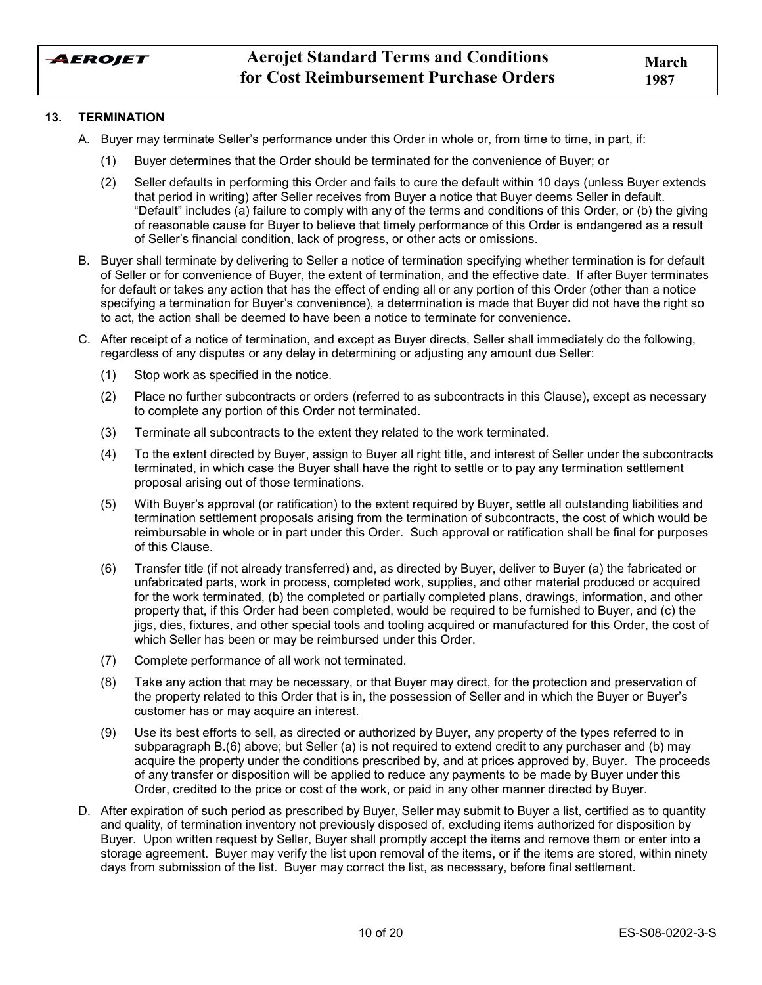

### **13. TERMINATION**

- A. Buyer may terminate Sellerís performance under this Order in whole or, from time to time, in part, if:
	- (1) Buyer determines that the Order should be terminated for the convenience of Buyer; or
	- (2) Seller defaults in performing this Order and fails to cure the default within 10 days (unless Buyer extends that period in writing) after Seller receives from Buyer a notice that Buyer deems Seller in default. ìDefaultî includes (a) failure to comply with any of the terms and conditions of this Order, or (b) the giving of reasonable cause for Buyer to believe that timely performance of this Order is endangered as a result of Sellerís financial condition, lack of progress, or other acts or omissions.
- B. Buyer shall terminate by delivering to Seller a notice of termination specifying whether termination is for default of Seller or for convenience of Buyer, the extent of termination, and the effective date. If after Buyer terminates for default or takes any action that has the effect of ending all or any portion of this Order (other than a notice specifying a termination for Buyerís convenience), a determination is made that Buyer did not have the right so to act, the action shall be deemed to have been a notice to terminate for convenience.
- C. After receipt of a notice of termination, and except as Buyer directs, Seller shall immediately do the following, regardless of any disputes or any delay in determining or adjusting any amount due Seller:
	- (1) Stop work as specified in the notice.
	- (2) Place no further subcontracts or orders (referred to as subcontracts in this Clause), except as necessary to complete any portion of this Order not terminated.
	- (3) Terminate all subcontracts to the extent they related to the work terminated.
	- (4) To the extent directed by Buyer, assign to Buyer all right title, and interest of Seller under the subcontracts terminated, in which case the Buyer shall have the right to settle or to pay any termination settlement proposal arising out of those terminations.
	- (5) With Buyerís approval (or ratification) to the extent required by Buyer, settle all outstanding liabilities and termination settlement proposals arising from the termination of subcontracts, the cost of which would be reimbursable in whole or in part under this Order. Such approval or ratification shall be final for purposes of this Clause.
	- (6) Transfer title (if not already transferred) and, as directed by Buyer, deliver to Buyer (a) the fabricated or unfabricated parts, work in process, completed work, supplies, and other material produced or acquired for the work terminated, (b) the completed or partially completed plans, drawings, information, and other property that, if this Order had been completed, would be required to be furnished to Buyer, and (c) the jigs, dies, fixtures, and other special tools and tooling acquired or manufactured for this Order, the cost of which Seller has been or may be reimbursed under this Order.
	- (7) Complete performance of all work not terminated.
	- (8) Take any action that may be necessary, or that Buyer may direct, for the protection and preservation of the property related to this Order that is in, the possession of Seller and in which the Buyer or Buyer's customer has or may acquire an interest.
	- (9) Use its best efforts to sell, as directed or authorized by Buyer, any property of the types referred to in subparagraph B.(6) above; but Seller (a) is not required to extend credit to any purchaser and (b) may acquire the property under the conditions prescribed by, and at prices approved by, Buyer. The proceeds of any transfer or disposition will be applied to reduce any payments to be made by Buyer under this Order, credited to the price or cost of the work, or paid in any other manner directed by Buyer.
- D. After expiration of such period as prescribed by Buyer, Seller may submit to Buyer a list, certified as to quantity and quality, of termination inventory not previously disposed of, excluding items authorized for disposition by Buyer. Upon written request by Seller, Buyer shall promptly accept the items and remove them or enter into a storage agreement. Buyer may verify the list upon removal of the items, or if the items are stored, within ninety days from submission of the list. Buyer may correct the list, as necessary, before final settlement.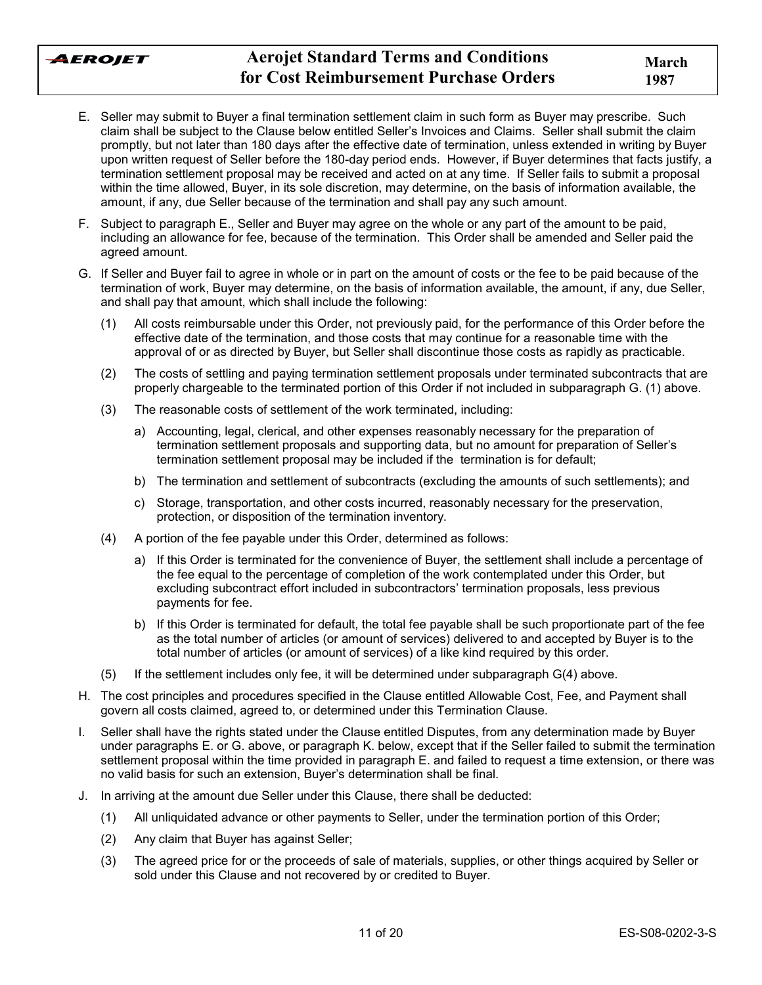

- E. Seller may submit to Buyer a final termination settlement claim in such form as Buyer may prescribe. Such claim shall be subject to the Clause below entitled Sellerís Invoices and Claims. Seller shall submit the claim promptly, but not later than 180 days after the effective date of termination, unless extended in writing by Buyer upon written request of Seller before the 180-day period ends. However, if Buyer determines that facts justify, a termination settlement proposal may be received and acted on at any time. If Seller fails to submit a proposal within the time allowed, Buyer, in its sole discretion, may determine, on the basis of information available, the amount, if any, due Seller because of the termination and shall pay any such amount.
- F. Subject to paragraph E., Seller and Buyer may agree on the whole or any part of the amount to be paid, including an allowance for fee, because of the termination. This Order shall be amended and Seller paid the agreed amount.
- G. If Seller and Buyer fail to agree in whole or in part on the amount of costs or the fee to be paid because of the termination of work, Buyer may determine, on the basis of information available, the amount, if any, due Seller, and shall pay that amount, which shall include the following:
	- (1) All costs reimbursable under this Order, not previously paid, for the performance of this Order before the effective date of the termination, and those costs that may continue for a reasonable time with the approval of or as directed by Buyer, but Seller shall discontinue those costs as rapidly as practicable.
	- (2) The costs of settling and paying termination settlement proposals under terminated subcontracts that are properly chargeable to the terminated portion of this Order if not included in subparagraph G. (1) above.
	- (3) The reasonable costs of settlement of the work terminated, including:
		- a) Accounting, legal, clerical, and other expenses reasonably necessary for the preparation of termination settlement proposals and supporting data, but no amount for preparation of Sellerís termination settlement proposal may be included if the termination is for default;
		- b) The termination and settlement of subcontracts (excluding the amounts of such settlements); and
		- c) Storage, transportation, and other costs incurred, reasonably necessary for the preservation, protection, or disposition of the termination inventory.
	- (4) A portion of the fee payable under this Order, determined as follows:
		- a) If this Order is terminated for the convenience of Buyer, the settlement shall include a percentage of the fee equal to the percentage of completion of the work contemplated under this Order, but excluding subcontract effort included in subcontractors' termination proposals, less previous payments for fee.
		- b) If this Order is terminated for default, the total fee payable shall be such proportionate part of the fee as the total number of articles (or amount of services) delivered to and accepted by Buyer is to the total number of articles (or amount of services) of a like kind required by this order.
	- (5) If the settlement includes only fee, it will be determined under subparagraph G(4) above.
- H. The cost principles and procedures specified in the Clause entitled Allowable Cost, Fee, and Payment shall govern all costs claimed, agreed to, or determined under this Termination Clause.
- I. Seller shall have the rights stated under the Clause entitled Disputes, from any determination made by Buyer under paragraphs E. or G. above, or paragraph K. below, except that if the Seller failed to submit the termination settlement proposal within the time provided in paragraph E. and failed to request a time extension, or there was no valid basis for such an extension, Buyer's determination shall be final.
- J. In arriving at the amount due Seller under this Clause, there shall be deducted:
	- (1) All unliquidated advance or other payments to Seller, under the termination portion of this Order;
	- (2) Any claim that Buyer has against Seller;
	- (3) The agreed price for or the proceeds of sale of materials, supplies, or other things acquired by Seller or sold under this Clause and not recovered by or credited to Buyer.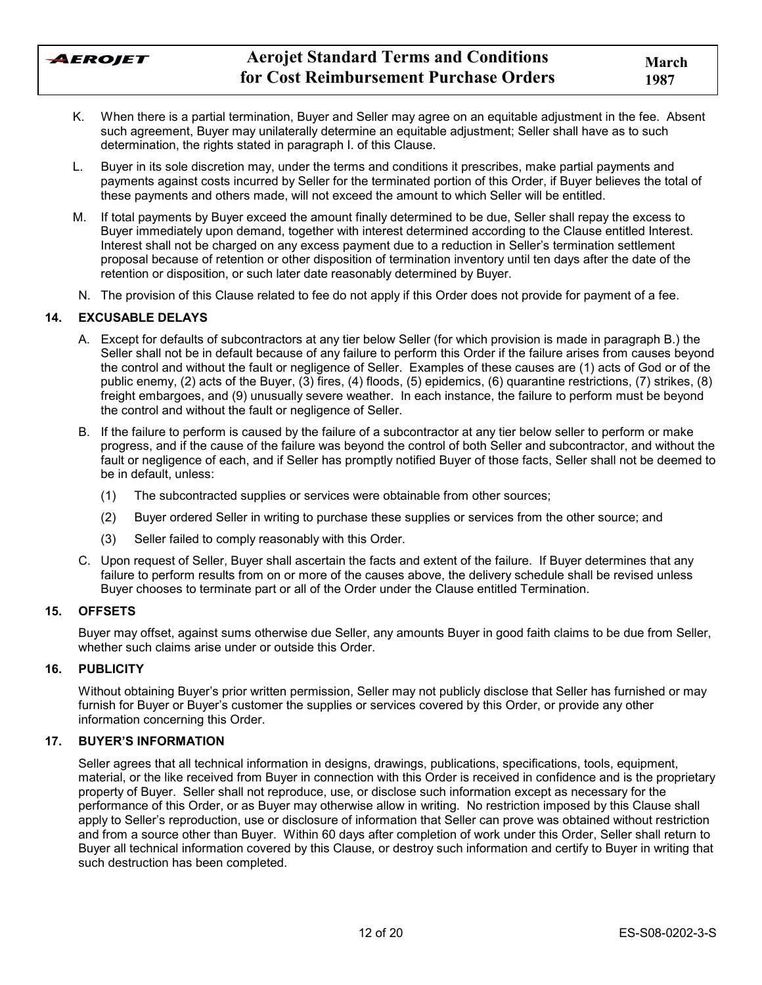AEROJET

- K. When there is a partial termination, Buyer and Seller may agree on an equitable adjustment in the fee. Absent such agreement, Buyer may unilaterally determine an equitable adjustment; Seller shall have as to such determination, the rights stated in paragraph I. of this Clause.
- L. Buyer in its sole discretion may, under the terms and conditions it prescribes, make partial payments and payments against costs incurred by Seller for the terminated portion of this Order, if Buyer believes the total of these payments and others made, will not exceed the amount to which Seller will be entitled.
- M. If total payments by Buyer exceed the amount finally determined to be due, Seller shall repay the excess to Buyer immediately upon demand, together with interest determined according to the Clause entitled Interest. Interest shall not be charged on any excess payment due to a reduction in Seller's termination settlement proposal because of retention or other disposition of termination inventory until ten days after the date of the retention or disposition, or such later date reasonably determined by Buyer.
- N. The provision of this Clause related to fee do not apply if this Order does not provide for payment of a fee.

## **14. EXCUSABLE DELAYS**

- A. Except for defaults of subcontractors at any tier below Seller (for which provision is made in paragraph B.) the Seller shall not be in default because of any failure to perform this Order if the failure arises from causes beyond the control and without the fault or negligence of Seller. Examples of these causes are (1) acts of God or of the public enemy, (2) acts of the Buyer, (3) fires, (4) floods, (5) epidemics, (6) quarantine restrictions, (7) strikes, (8) freight embargoes, and (9) unusually severe weather. In each instance, the failure to perform must be beyond the control and without the fault or negligence of Seller.
- B. If the failure to perform is caused by the failure of a subcontractor at any tier below seller to perform or make progress, and if the cause of the failure was beyond the control of both Seller and subcontractor, and without the fault or negligence of each, and if Seller has promptly notified Buyer of those facts, Seller shall not be deemed to be in default, unless:
	- (1) The subcontracted supplies or services were obtainable from other sources;
	- (2) Buyer ordered Seller in writing to purchase these supplies or services from the other source; and
	- (3) Seller failed to comply reasonably with this Order.
- C. Upon request of Seller, Buyer shall ascertain the facts and extent of the failure. If Buyer determines that any failure to perform results from on or more of the causes above, the delivery schedule shall be revised unless Buyer chooses to terminate part or all of the Order under the Clause entitled Termination.

#### **15. OFFSETS**

Buyer may offset, against sums otherwise due Seller, any amounts Buyer in good faith claims to be due from Seller, whether such claims arise under or outside this Order.

#### **16. PUBLICITY**

Without obtaining Buyerís prior written permission, Seller may not publicly disclose that Seller has furnished or may furnish for Buyer or Buyer's customer the supplies or services covered by this Order, or provide any other information concerning this Order.

## **17. BUYER'S INFORMATION**

Seller agrees that all technical information in designs, drawings, publications, specifications, tools, equipment, material, or the like received from Buyer in connection with this Order is received in confidence and is the proprietary property of Buyer. Seller shall not reproduce, use, or disclose such information except as necessary for the performance of this Order, or as Buyer may otherwise allow in writing. No restriction imposed by this Clause shall apply to Seller's reproduction, use or disclosure of information that Seller can prove was obtained without restriction and from a source other than Buyer. Within 60 days after completion of work under this Order, Seller shall return to Buyer all technical information covered by this Clause, or destroy such information and certify to Buyer in writing that such destruction has been completed.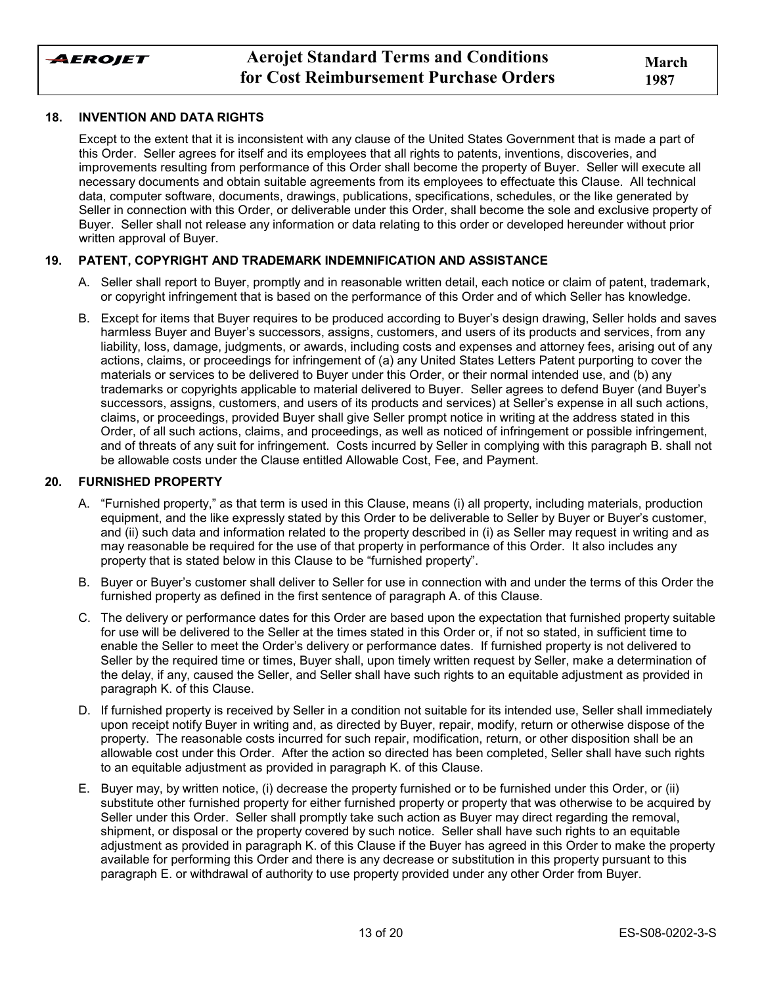

### **18. INVENTION AND DATA RIGHTS**

Except to the extent that it is inconsistent with any clause of the United States Government that is made a part of this Order. Seller agrees for itself and its employees that all rights to patents, inventions, discoveries, and improvements resulting from performance of this Order shall become the property of Buyer. Seller will execute all necessary documents and obtain suitable agreements from its employees to effectuate this Clause. All technical data, computer software, documents, drawings, publications, specifications, schedules, or the like generated by Seller in connection with this Order, or deliverable under this Order, shall become the sole and exclusive property of Buyer. Seller shall not release any information or data relating to this order or developed hereunder without prior written approval of Buyer.

## **19. PATENT, COPYRIGHT AND TRADEMARK INDEMNIFICATION AND ASSISTANCE**

- A. Seller shall report to Buyer, promptly and in reasonable written detail, each notice or claim of patent. trademark. or copyright infringement that is based on the performance of this Order and of which Seller has knowledge.
- B. Except for items that Buyer requires to be produced according to Buyerís design drawing, Seller holds and saves harmless Buyer and Buyer's successors, assigns, customers, and users of its products and services, from any liability, loss, damage, judgments, or awards, including costs and expenses and attorney fees, arising out of any actions, claims, or proceedings for infringement of (a) any United States Letters Patent purporting to cover the materials or services to be delivered to Buyer under this Order, or their normal intended use, and (b) any trademarks or copyrights applicable to material delivered to Buyer. Seller agrees to defend Buyer (and Buyerís successors, assigns, customers, and users of its products and services) at Seller's expense in all such actions, claims, or proceedings, provided Buyer shall give Seller prompt notice in writing at the address stated in this Order, of all such actions, claims, and proceedings, as well as noticed of infringement or possible infringement, and of threats of any suit for infringement. Costs incurred by Seller in complying with this paragraph B. shall not be allowable costs under the Clause entitled Allowable Cost, Fee, and Payment.

### **20. FURNISHED PROPERTY**

- A. "Furnished property," as that term is used in this Clause, means (i) all property, including materials, production equipment, and the like expressly stated by this Order to be deliverable to Seller by Buyer or Buyer's customer, and (ii) such data and information related to the property described in (i) as Seller may request in writing and as may reasonable be required for the use of that property in performance of this Order. It also includes any property that is stated below in this Clause to be "furnished property".
- B. Buyer or Buyerís customer shall deliver to Seller for use in connection with and under the terms of this Order the furnished property as defined in the first sentence of paragraph A. of this Clause.
- C. The delivery or performance dates for this Order are based upon the expectation that furnished property suitable for use will be delivered to the Seller at the times stated in this Order or, if not so stated, in sufficient time to enable the Seller to meet the Orderís delivery or performance dates. If furnished property is not delivered to Seller by the required time or times, Buyer shall, upon timely written request by Seller, make a determination of the delay, if any, caused the Seller, and Seller shall have such rights to an equitable adjustment as provided in paragraph K. of this Clause.
- D. If furnished property is received by Seller in a condition not suitable for its intended use, Seller shall immediately upon receipt notify Buyer in writing and, as directed by Buyer, repair, modify, return or otherwise dispose of the property. The reasonable costs incurred for such repair, modification, return, or other disposition shall be an allowable cost under this Order. After the action so directed has been completed, Seller shall have such rights to an equitable adjustment as provided in paragraph K. of this Clause.
- E. Buyer may, by written notice, (i) decrease the property furnished or to be furnished under this Order, or (ii) substitute other furnished property for either furnished property or property that was otherwise to be acquired by Seller under this Order. Seller shall promptly take such action as Buyer may direct regarding the removal, shipment, or disposal or the property covered by such notice. Seller shall have such rights to an equitable adjustment as provided in paragraph K. of this Clause if the Buyer has agreed in this Order to make the property available for performing this Order and there is any decrease or substitution in this property pursuant to this paragraph E. or withdrawal of authority to use property provided under any other Order from Buyer.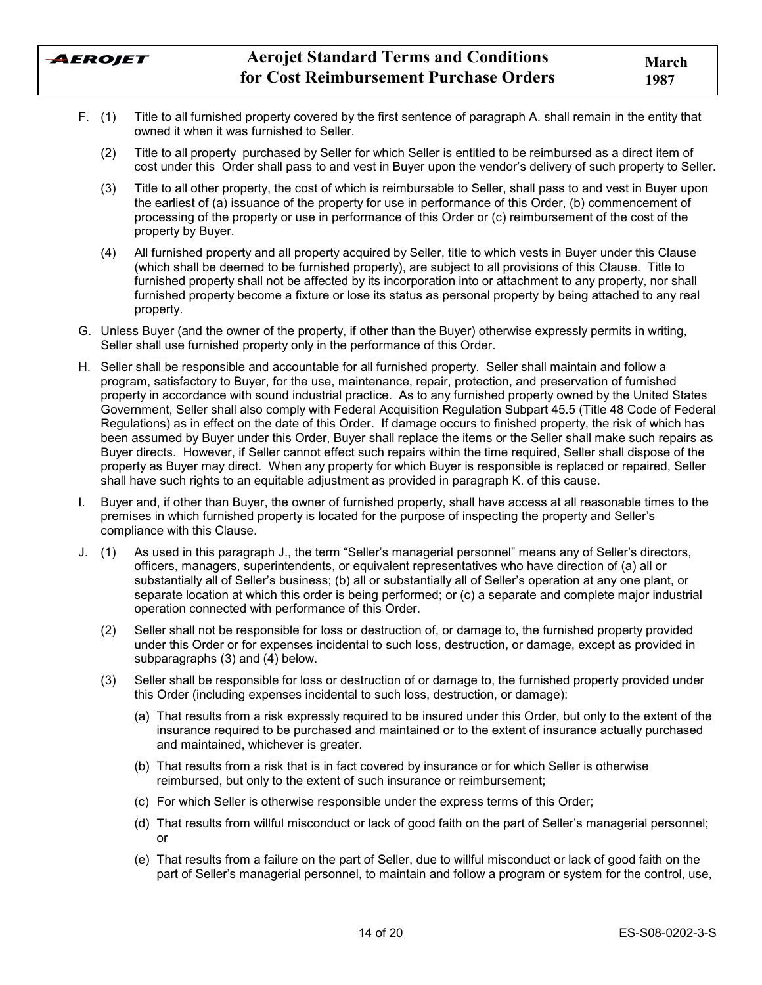

- F. (1) Title to all furnished property covered by the first sentence of paragraph A. shall remain in the entity that owned it when it was furnished to Seller.
	- (2) Title to all property purchased by Seller for which Seller is entitled to be reimbursed as a direct item of cost under this Order shall pass to and vest in Buyer upon the vendorís delivery of such property to Seller.
	- (3) Title to all other property, the cost of which is reimbursable to Seller, shall pass to and vest in Buyer upon the earliest of (a) issuance of the property for use in performance of this Order, (b) commencement of processing of the property or use in performance of this Order or (c) reimbursement of the cost of the property by Buyer.
	- (4) All furnished property and all property acquired by Seller, title to which vests in Buyer under this Clause (which shall be deemed to be furnished property), are subject to all provisions of this Clause. Title to furnished property shall not be affected by its incorporation into or attachment to any property, nor shall furnished property become a fixture or lose its status as personal property by being attached to any real property.
- G. Unless Buyer (and the owner of the property, if other than the Buyer) otherwise expressly permits in writing, Seller shall use furnished property only in the performance of this Order.
- H. Seller shall be responsible and accountable for all furnished property. Seller shall maintain and follow a program, satisfactory to Buyer, for the use, maintenance, repair, protection, and preservation of furnished property in accordance with sound industrial practice. As to any furnished property owned by the United States Government, Seller shall also comply with Federal Acquisition Regulation Subpart 45.5 (Title 48 Code of Federal Regulations) as in effect on the date of this Order. If damage occurs to finished property, the risk of which has been assumed by Buyer under this Order, Buyer shall replace the items or the Seller shall make such repairs as Buyer directs. However, if Seller cannot effect such repairs within the time required, Seller shall dispose of the property as Buyer may direct. When any property for which Buyer is responsible is replaced or repaired, Seller shall have such rights to an equitable adjustment as provided in paragraph K. of this cause.
- I. Buyer and, if other than Buyer, the owner of furnished property, shall have access at all reasonable times to the premises in which furnished property is located for the purpose of inspecting the property and Sellerís compliance with this Clause.
- J. (1) As used in this paragraph J., the term "Seller's managerial personnel" means any of Seller's directors, officers, managers, superintendents, or equivalent representatives who have direction of (a) all or substantially all of Seller's business; (b) all or substantially all of Seller's operation at any one plant, or separate location at which this order is being performed; or (c) a separate and complete major industrial operation connected with performance of this Order.
	- (2) Seller shall not be responsible for loss or destruction of, or damage to, the furnished property provided under this Order or for expenses incidental to such loss, destruction, or damage, except as provided in subparagraphs (3) and (4) below.
	- (3) Seller shall be responsible for loss or destruction of or damage to, the furnished property provided under this Order (including expenses incidental to such loss, destruction, or damage):
		- (a) That results from a risk expressly required to be insured under this Order, but only to the extent of the insurance required to be purchased and maintained or to the extent of insurance actually purchased and maintained, whichever is greater.
		- (b) That results from a risk that is in fact covered by insurance or for which Seller is otherwise reimbursed, but only to the extent of such insurance or reimbursement;
		- (c) For which Seller is otherwise responsible under the express terms of this Order;
		- (d) That results from willful misconduct or lack of good faith on the part of Sellerís managerial personnel; or
		- (e) That results from a failure on the part of Seller, due to willful misconduct or lack of good faith on the part of Sellerís managerial personnel, to maintain and follow a program or system for the control, use,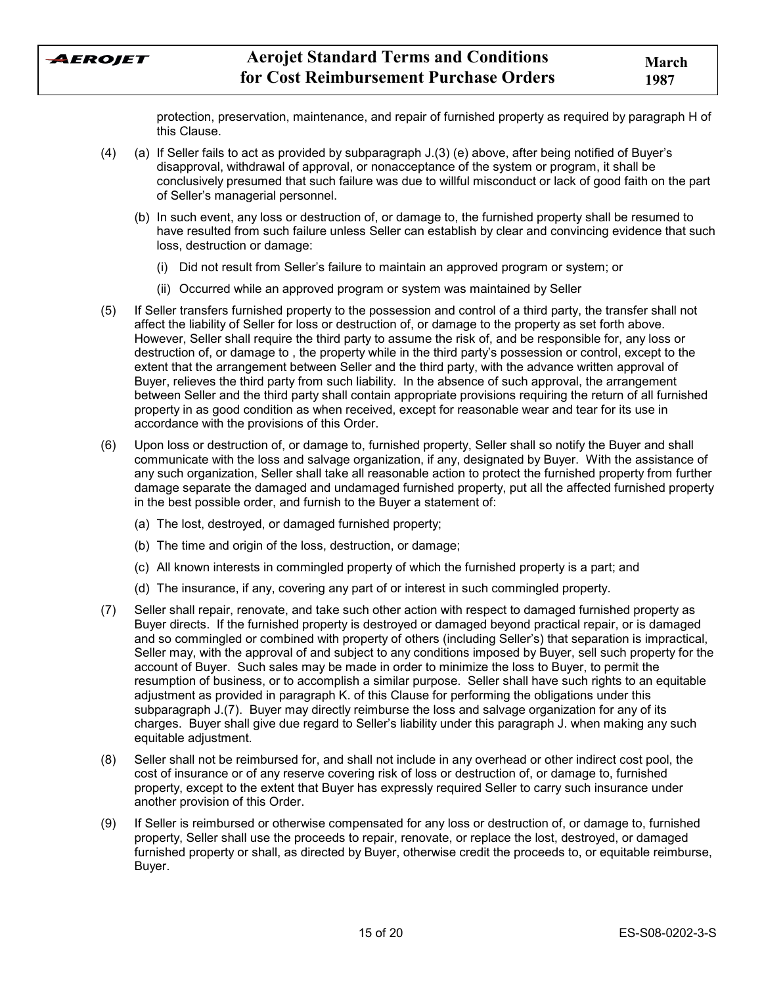

protection, preservation, maintenance, and repair of furnished property as required by paragraph H of this Clause.

- (4) (a) If Seller fails to act as provided by subparagraph J.(3) (e) above, after being notified of Buyerís disapproval, withdrawal of approval, or nonacceptance of the system or program, it shall be conclusively presumed that such failure was due to willful misconduct or lack of good faith on the part of Seller's managerial personnel.
	- (b) In such event, any loss or destruction of, or damage to, the furnished property shall be resumed to have resulted from such failure unless Seller can establish by clear and convincing evidence that such loss, destruction or damage:
		- (i) Did not result from Sellerís failure to maintain an approved program or system; or
		- (ii) Occurred while an approved program or system was maintained by Seller
- (5) If Seller transfers furnished property to the possession and control of a third party, the transfer shall not affect the liability of Seller for loss or destruction of, or damage to the property as set forth above. However, Seller shall require the third party to assume the risk of, and be responsible for, any loss or destruction of, or damage to , the property while in the third partyís possession or control, except to the extent that the arrangement between Seller and the third party, with the advance written approval of Buyer, relieves the third party from such liability. In the absence of such approval, the arrangement between Seller and the third party shall contain appropriate provisions requiring the return of all furnished property in as good condition as when received, except for reasonable wear and tear for its use in accordance with the provisions of this Order.
- (6) Upon loss or destruction of, or damage to, furnished property, Seller shall so notify the Buyer and shall communicate with the loss and salvage organization, if any, designated by Buyer. With the assistance of any such organization, Seller shall take all reasonable action to protect the furnished property from further damage separate the damaged and undamaged furnished property, put all the affected furnished property in the best possible order, and furnish to the Buyer a statement of:
	- (a) The lost, destroyed, or damaged furnished property;
	- (b) The time and origin of the loss, destruction, or damage;
	- (c) All known interests in commingled property of which the furnished property is a part; and
	- (d) The insurance, if any, covering any part of or interest in such commingled property.
- (7) Seller shall repair, renovate, and take such other action with respect to damaged furnished property as Buyer directs. If the furnished property is destroyed or damaged beyond practical repair, or is damaged and so commingled or combined with property of others (including Sellerís) that separation is impractical, Seller may, with the approval of and subject to any conditions imposed by Buyer, sell such property for the account of Buyer. Such sales may be made in order to minimize the loss to Buyer, to permit the resumption of business, or to accomplish a similar purpose. Seller shall have such rights to an equitable adjustment as provided in paragraph K. of this Clause for performing the obligations under this subparagraph J.(7). Buyer may directly reimburse the loss and salvage organization for any of its charges. Buyer shall give due regard to Seller's liability under this paragraph J. when making any such equitable adjustment.
- (8) Seller shall not be reimbursed for, and shall not include in any overhead or other indirect cost pool, the cost of insurance or of any reserve covering risk of loss or destruction of, or damage to, furnished property, except to the extent that Buyer has expressly required Seller to carry such insurance under another provision of this Order.
- (9) If Seller is reimbursed or otherwise compensated for any loss or destruction of, or damage to, furnished property, Seller shall use the proceeds to repair, renovate, or replace the lost, destroyed, or damaged furnished property or shall, as directed by Buyer, otherwise credit the proceeds to, or equitable reimburse, Buyer.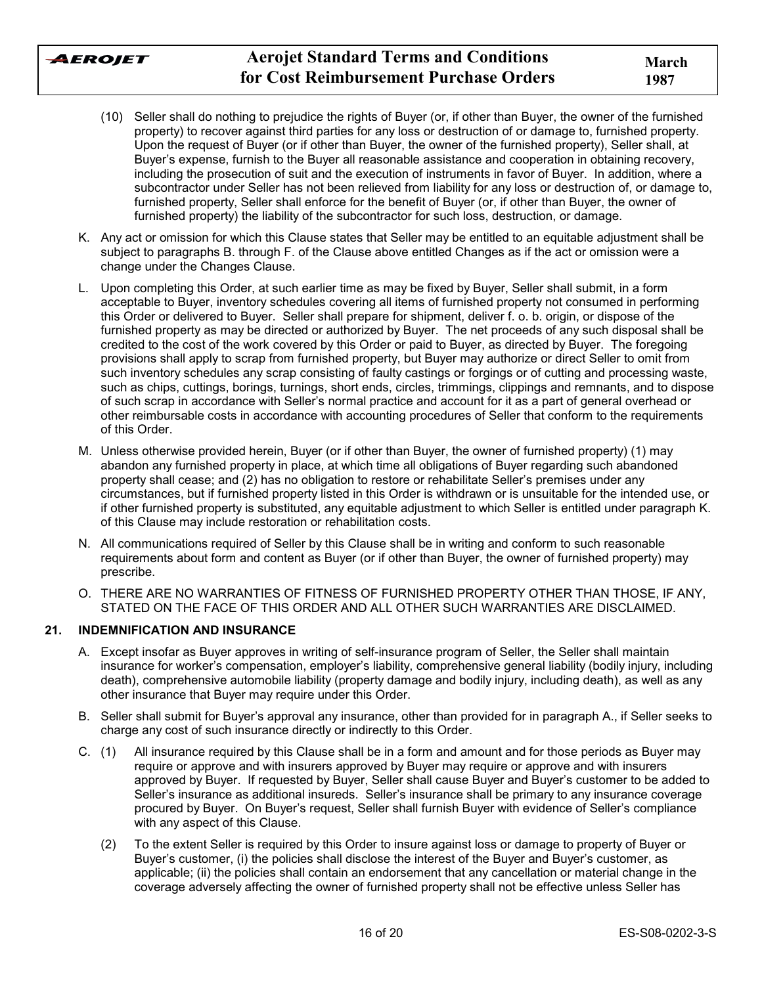

- (10) Seller shall do nothing to prejudice the rights of Buyer (or, if other than Buyer, the owner of the furnished property) to recover against third parties for any loss or destruction of or damage to, furnished property. Upon the request of Buyer (or if other than Buyer, the owner of the furnished property), Seller shall, at Buyer's expense, furnish to the Buyer all reasonable assistance and cooperation in obtaining recovery, including the prosecution of suit and the execution of instruments in favor of Buyer. In addition, where a subcontractor under Seller has not been relieved from liability for any loss or destruction of, or damage to, furnished property, Seller shall enforce for the benefit of Buyer (or, if other than Buyer, the owner of furnished property) the liability of the subcontractor for such loss, destruction, or damage.
- K. Any act or omission for which this Clause states that Seller may be entitled to an equitable adjustment shall be subject to paragraphs B. through F. of the Clause above entitled Changes as if the act or omission were a change under the Changes Clause.
- L. Upon completing this Order, at such earlier time as may be fixed by Buyer, Seller shall submit, in a form acceptable to Buyer, inventory schedules covering all items of furnished property not consumed in performing this Order or delivered to Buyer. Seller shall prepare for shipment, deliver f. o. b. origin, or dispose of the furnished property as may be directed or authorized by Buyer. The net proceeds of any such disposal shall be credited to the cost of the work covered by this Order or paid to Buyer, as directed by Buyer. The foregoing provisions shall apply to scrap from furnished property, but Buyer may authorize or direct Seller to omit from such inventory schedules any scrap consisting of faulty castings or forgings or of cutting and processing waste, such as chips, cuttings, borings, turnings, short ends, circles, trimmings, clippings and remnants, and to dispose of such scrap in accordance with Sellerís normal practice and account for it as a part of general overhead or other reimbursable costs in accordance with accounting procedures of Seller that conform to the requirements of this Order.
- M. Unless otherwise provided herein, Buyer (or if other than Buyer, the owner of furnished property) (1) may abandon any furnished property in place, at which time all obligations of Buyer regarding such abandoned property shall cease; and (2) has no obligation to restore or rehabilitate Seller's premises under any circumstances, but if furnished property listed in this Order is withdrawn or is unsuitable for the intended use, or if other furnished property is substituted, any equitable adjustment to which Seller is entitled under paragraph K. of this Clause may include restoration or rehabilitation costs.
- N. All communications required of Seller by this Clause shall be in writing and conform to such reasonable requirements about form and content as Buyer (or if other than Buyer, the owner of furnished property) may prescribe.
- O. THERE ARE NO WARRANTIES OF FITNESS OF FURNISHED PROPERTY OTHER THAN THOSE, IF ANY, STATED ON THE FACE OF THIS ORDER AND ALL OTHER SUCH WARRANTIES ARE DISCLAIMED.

## **21. INDEMNIFICATION AND INSURANCE**

- A. Except insofar as Buyer approves in writing of self-insurance program of Seller, the Seller shall maintain insurance for workerís compensation, employerís liability, comprehensive general liability (bodily injury, including death), comprehensive automobile liability (property damage and bodily injury, including death), as well as any other insurance that Buyer may require under this Order.
- B. Seller shall submit for Buyerís approval any insurance, other than provided for in paragraph A., if Seller seeks to charge any cost of such insurance directly or indirectly to this Order.
- C. (1) All insurance required by this Clause shall be in a form and amount and for those periods as Buyer may require or approve and with insurers approved by Buyer may require or approve and with insurers approved by Buyer. If requested by Buyer, Seller shall cause Buyer and Buyer's customer to be added to Seller's insurance as additional insureds. Seller's insurance shall be primary to any insurance coverage procured by Buyer. On Buyer's request, Seller shall furnish Buyer with evidence of Seller's compliance with any aspect of this Clause.
	- (2) To the extent Seller is required by this Order to insure against loss or damage to property of Buyer or Buyer's customer, (i) the policies shall disclose the interest of the Buyer and Buyer's customer, as applicable; (ii) the policies shall contain an endorsement that any cancellation or material change in the coverage adversely affecting the owner of furnished property shall not be effective unless Seller has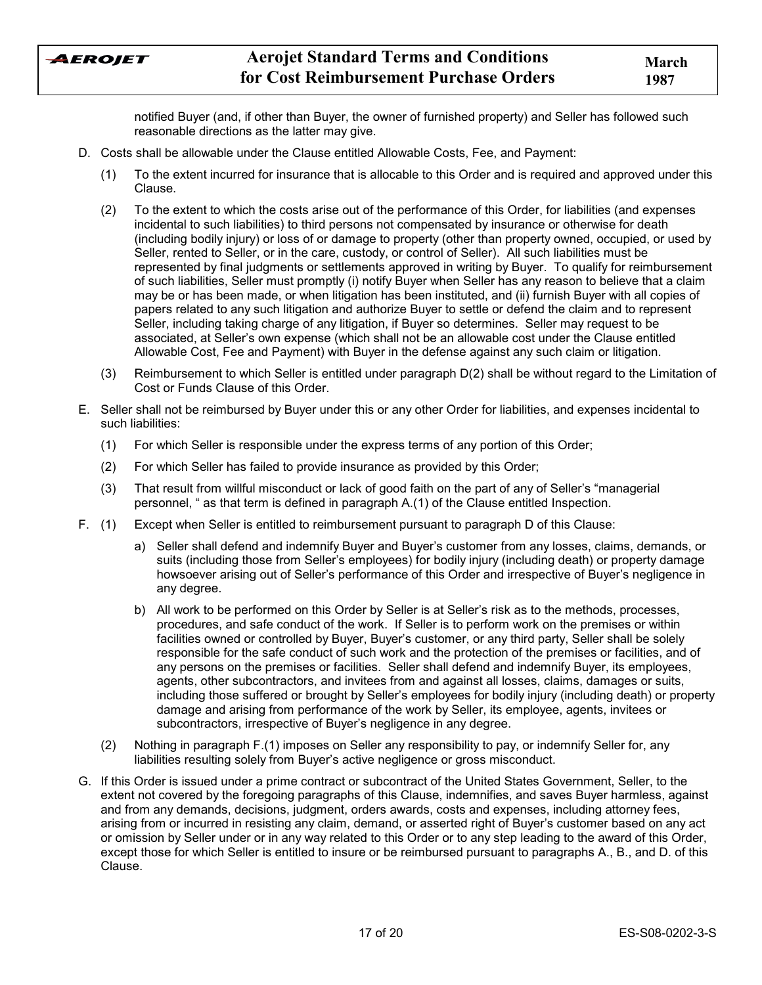

notified Buyer (and, if other than Buyer, the owner of furnished property) and Seller has followed such reasonable directions as the latter may give.

- D. Costs shall be allowable under the Clause entitled Allowable Costs, Fee, and Payment:
	- (1) To the extent incurred for insurance that is allocable to this Order and is required and approved under this Clause.
	- (2) To the extent to which the costs arise out of the performance of this Order, for liabilities (and expenses incidental to such liabilities) to third persons not compensated by insurance or otherwise for death (including bodily injury) or loss of or damage to property (other than property owned, occupied, or used by Seller, rented to Seller, or in the care, custody, or control of Seller). All such liabilities must be represented by final judgments or settlements approved in writing by Buyer. To qualify for reimbursement of such liabilities, Seller must promptly (i) notify Buyer when Seller has any reason to believe that a claim may be or has been made, or when litigation has been instituted, and (ii) furnish Buyer with all copies of papers related to any such litigation and authorize Buyer to settle or defend the claim and to represent Seller, including taking charge of any litigation, if Buyer so determines. Seller may request to be associated, at Seller's own expense (which shall not be an allowable cost under the Clause entitled Allowable Cost, Fee and Payment) with Buyer in the defense against any such claim or litigation.
	- (3) Reimbursement to which Seller is entitled under paragraph D(2) shall be without regard to the Limitation of Cost or Funds Clause of this Order.
- E. Seller shall not be reimbursed by Buyer under this or any other Order for liabilities, and expenses incidental to such liabilities:
	- (1) For which Seller is responsible under the express terms of any portion of this Order;
	- (2) For which Seller has failed to provide insurance as provided by this Order;
	- (3) That result from willful misconduct or lack of good faith on the part of any of Seller's "managerial" personnel, " as that term is defined in paragraph A.(1) of the Clause entitled Inspection.
- F. (1) Except when Seller is entitled to reimbursement pursuant to paragraph D of this Clause:
	- a) Seller shall defend and indemnify Buyer and Buyer's customer from any losses, claims, demands, or suits (including those from Seller's employees) for bodily injury (including death) or property damage howsoever arising out of Seller's performance of this Order and irrespective of Buyer's negligence in any degree.
	- b) All work to be performed on this Order by Seller is at Seller's risk as to the methods, processes, procedures, and safe conduct of the work. If Seller is to perform work on the premises or within facilities owned or controlled by Buyer, Buyer's customer, or any third party, Seller shall be solely responsible for the safe conduct of such work and the protection of the premises or facilities, and of any persons on the premises or facilities. Seller shall defend and indemnify Buyer, its employees, agents, other subcontractors, and invitees from and against all losses, claims, damages or suits, including those suffered or brought by Seller's employees for bodily injury (including death) or property damage and arising from performance of the work by Seller, its employee, agents, invitees or subcontractors, irrespective of Buyer's negligence in any degree.
	- (2) Nothing in paragraph F.(1) imposes on Seller any responsibility to pay, or indemnify Seller for, any liabilities resulting solely from Buyer's active negligence or gross misconduct.
- G. If this Order is issued under a prime contract or subcontract of the United States Government, Seller, to the extent not covered by the foregoing paragraphs of this Clause, indemnifies, and saves Buyer harmless, against and from any demands, decisions, judgment, orders awards, costs and expenses, including attorney fees, arising from or incurred in resisting any claim, demand, or asserted right of Buyerís customer based on any act or omission by Seller under or in any way related to this Order or to any step leading to the award of this Order, except those for which Seller is entitled to insure or be reimbursed pursuant to paragraphs A., B., and D. of this Clause.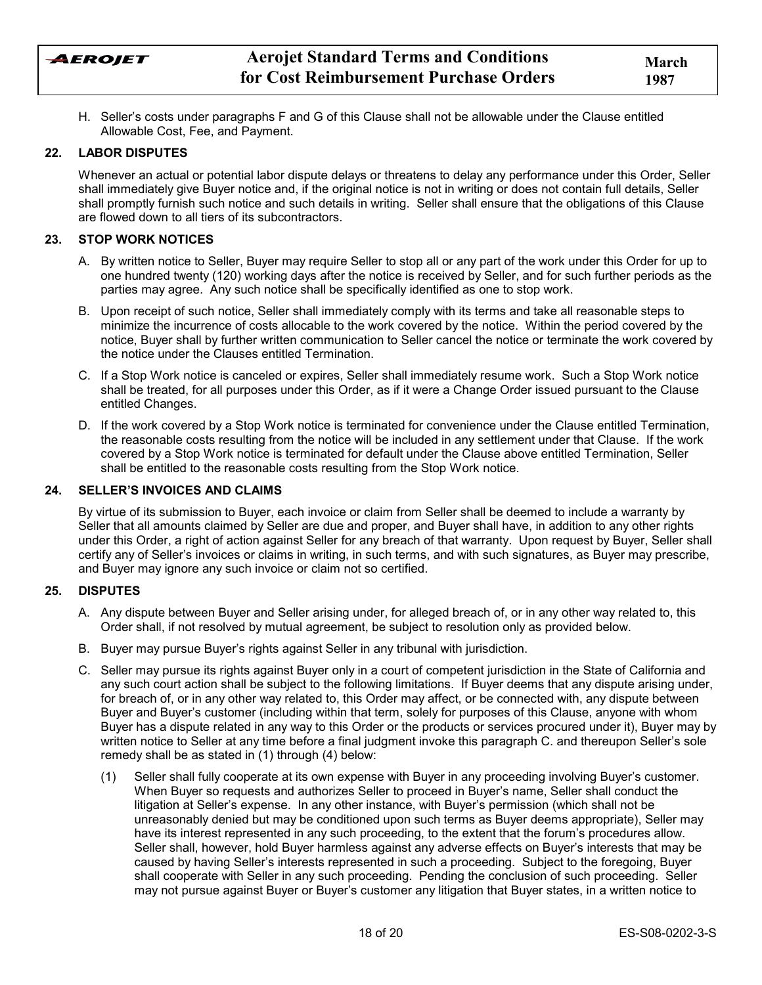AEROJET

H. Sellerís costs under paragraphs F and G of this Clause shall not be allowable under the Clause entitled Allowable Cost, Fee, and Payment.

### **22. LABOR DISPUTES**

Whenever an actual or potential labor dispute delays or threatens to delay any performance under this Order, Seller shall immediately give Buyer notice and, if the original notice is not in writing or does not contain full details, Seller shall promptly furnish such notice and such details in writing. Seller shall ensure that the obligations of this Clause are flowed down to all tiers of its subcontractors.

#### **23. STOP WORK NOTICES**

- A. By written notice to Seller, Buyer may require Seller to stop all or any part of the work under this Order for up to one hundred twenty (120) working days after the notice is received by Seller, and for such further periods as the parties may agree. Any such notice shall be specifically identified as one to stop work.
- B. Upon receipt of such notice, Seller shall immediately comply with its terms and take all reasonable steps to minimize the incurrence of costs allocable to the work covered by the notice. Within the period covered by the notice, Buyer shall by further written communication to Seller cancel the notice or terminate the work covered by the notice under the Clauses entitled Termination.
- C. If a Stop Work notice is canceled or expires, Seller shall immediately resume work. Such a Stop Work notice shall be treated, for all purposes under this Order, as if it were a Change Order issued pursuant to the Clause entitled Changes.
- D. If the work covered by a Stop Work notice is terminated for convenience under the Clause entitled Termination, the reasonable costs resulting from the notice will be included in any settlement under that Clause. If the work covered by a Stop Work notice is terminated for default under the Clause above entitled Termination, Seller shall be entitled to the reasonable costs resulting from the Stop Work notice.

#### **24. SELLERíS INVOICES AND CLAIMS**

By virtue of its submission to Buyer, each invoice or claim from Seller shall be deemed to include a warranty by Seller that all amounts claimed by Seller are due and proper, and Buyer shall have, in addition to any other rights under this Order, a right of action against Seller for any breach of that warranty. Upon request by Buyer, Seller shall certify any of Sellerís invoices or claims in writing, in such terms, and with such signatures, as Buyer may prescribe, and Buyer may ignore any such invoice or claim not so certified.

### **25. DISPUTES**

- A. Any dispute between Buyer and Seller arising under, for alleged breach of, or in any other way related to, this Order shall, if not resolved by mutual agreement, be subject to resolution only as provided below.
- B. Buyer may pursue Buyerís rights against Seller in any tribunal with jurisdiction.
- C. Seller may pursue its rights against Buyer only in a court of competent jurisdiction in the State of California and any such court action shall be subject to the following limitations. If Buyer deems that any dispute arising under, for breach of, or in any other way related to, this Order may affect, or be connected with, any dispute between Buyer and Buyerís customer (including within that term, solely for purposes of this Clause, anyone with whom Buyer has a dispute related in any way to this Order or the products or services procured under it), Buyer may by written notice to Seller at any time before a final judgment invoke this paragraph C. and thereupon Seller's sole remedy shall be as stated in (1) through (4) below:
	- (1) Seller shall fully cooperate at its own expense with Buyer in any proceeding involving Buyerís customer. When Buyer so requests and authorizes Seller to proceed in Buyerís name, Seller shall conduct the litigation at Seller's expense. In any other instance, with Buyer's permission (which shall not be unreasonably denied but may be conditioned upon such terms as Buyer deems appropriate), Seller may have its interest represented in any such proceeding, to the extent that the forum's procedures allow. Seller shall, however, hold Buyer harmless against any adverse effects on Buyer's interests that may be caused by having Sellerís interests represented in such a proceeding. Subject to the foregoing, Buyer shall cooperate with Seller in any such proceeding. Pending the conclusion of such proceeding. Seller may not pursue against Buyer or Buyerís customer any litigation that Buyer states, in a written notice to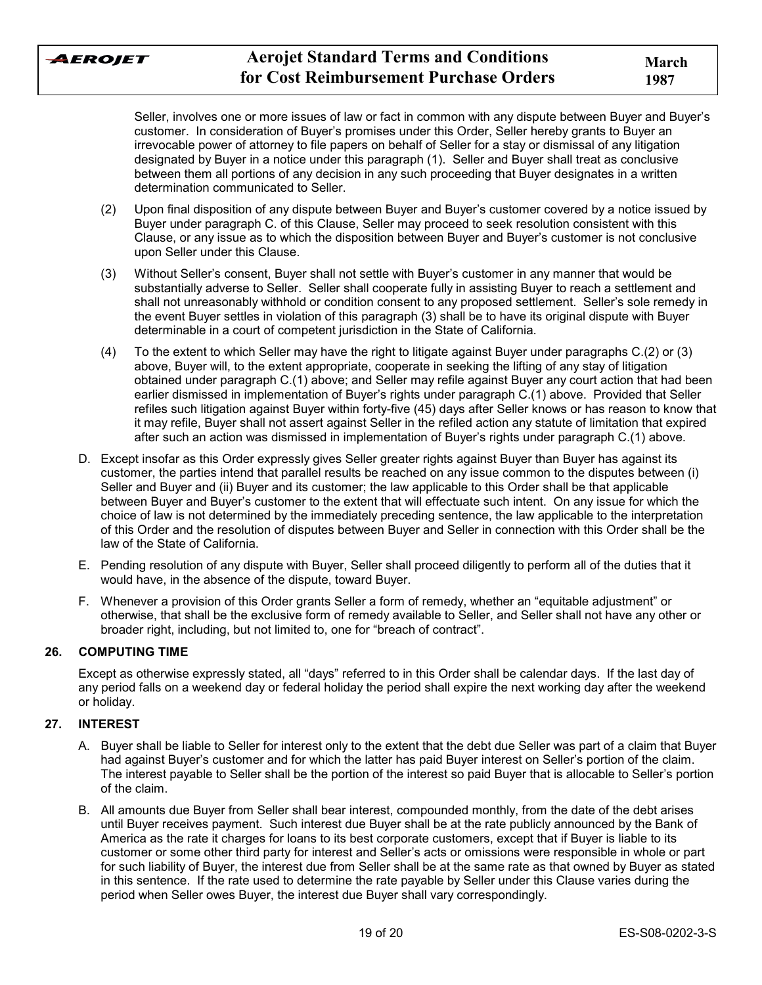

Seller, involves one or more issues of law or fact in common with any dispute between Buyer and Buyerís customer. In consideration of Buyerís promises under this Order, Seller hereby grants to Buyer an irrevocable power of attorney to file papers on behalf of Seller for a stay or dismissal of any litigation designated by Buyer in a notice under this paragraph (1). Seller and Buyer shall treat as conclusive between them all portions of any decision in any such proceeding that Buyer designates in a written determination communicated to Seller.

- (2) Upon final disposition of any dispute between Buyer and Buyerís customer covered by a notice issued by Buyer under paragraph C. of this Clause, Seller may proceed to seek resolution consistent with this Clause, or any issue as to which the disposition between Buyer and Buyer's customer is not conclusive upon Seller under this Clause.
- (3) Without Sellerís consent, Buyer shall not settle with Buyerís customer in any manner that would be substantially adverse to Seller. Seller shall cooperate fully in assisting Buyer to reach a settlement and shall not unreasonably withhold or condition consent to any proposed settlement. Seller's sole remedy in the event Buyer settles in violation of this paragraph (3) shall be to have its original dispute with Buyer determinable in a court of competent jurisdiction in the State of California.
- (4) To the extent to which Seller may have the right to litigate against Buyer under paragraphs C.(2) or (3) above, Buyer will, to the extent appropriate, cooperate in seeking the lifting of any stay of litigation obtained under paragraph C.(1) above; and Seller may refile against Buyer any court action that had been earlier dismissed in implementation of Buyer's rights under paragraph C.(1) above. Provided that Seller refiles such litigation against Buyer within forty-five (45) days after Seller knows or has reason to know that it may refile, Buyer shall not assert against Seller in the refiled action any statute of limitation that expired after such an action was dismissed in implementation of Buyer's rights under paragraph C.(1) above.
- D. Except insofar as this Order expressly gives Seller greater rights against Buyer than Buyer has against its customer, the parties intend that parallel results be reached on any issue common to the disputes between (i) Seller and Buyer and (ii) Buyer and its customer; the law applicable to this Order shall be that applicable between Buyer and Buyerís customer to the extent that will effectuate such intent. On any issue for which the choice of law is not determined by the immediately preceding sentence, the law applicable to the interpretation of this Order and the resolution of disputes between Buyer and Seller in connection with this Order shall be the law of the State of California.
- E. Pending resolution of any dispute with Buyer, Seller shall proceed diligently to perform all of the duties that it would have, in the absence of the dispute, toward Buyer.
- F. Whenever a provision of this Order grants Seller a form of remedy, whether an "equitable adjustment" or otherwise, that shall be the exclusive form of remedy available to Seller, and Seller shall not have any other or broader right, including, but not limited to, one for "breach of contract".

## **26. COMPUTING TIME**

Except as otherwise expressly stated, all "days" referred to in this Order shall be calendar days. If the last day of any period falls on a weekend day or federal holiday the period shall expire the next working day after the weekend or holiday.

## **27. INTEREST**

- A. Buyer shall be liable to Seller for interest only to the extent that the debt due Seller was part of a claim that Buyer had against Buyer's customer and for which the latter has paid Buyer interest on Seller's portion of the claim. The interest payable to Seller shall be the portion of the interest so paid Buyer that is allocable to Sellerís portion of the claim.
- B. All amounts due Buyer from Seller shall bear interest, compounded monthly, from the date of the debt arises until Buyer receives payment. Such interest due Buyer shall be at the rate publicly announced by the Bank of America as the rate it charges for loans to its best corporate customers, except that if Buyer is liable to its customer or some other third party for interest and Sellerís acts or omissions were responsible in whole or part for such liability of Buyer, the interest due from Seller shall be at the same rate as that owned by Buyer as stated in this sentence. If the rate used to determine the rate payable by Seller under this Clause varies during the period when Seller owes Buyer, the interest due Buyer shall vary correspondingly.